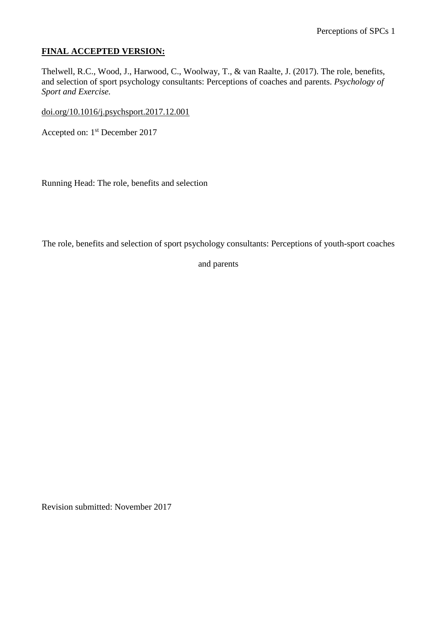## **FINAL ACCEPTED VERSION:**

Thelwell, R.C., Wood, J., Harwood, C., Woolway, T., & van Raalte, J. (2017). The role, benefits, and selection of sport psychology consultants: Perceptions of coaches and parents. *Psychology of Sport and Exercise.*

[doi.org/10.1016/j.psychsport.2017.12.001](http://doi.org/10.1016/j.psychsport.2017.12.001)

Accepted on: 1st December 2017

Running Head: The role, benefits and selection

The role, benefits and selection of sport psychology consultants: Perceptions of youth-sport coaches

and parents

Revision submitted: November 2017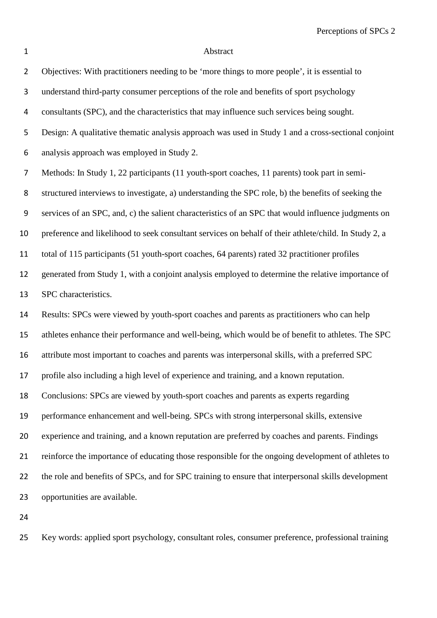Perceptions of SPCs 2

## 1 Abstract

| I<br>I |  |
|--------|--|
|        |  |
|        |  |
|        |  |

| $\overline{2}$   | Objectives: With practitioners needing to be 'more things to more people', it is essential to         |
|------------------|-------------------------------------------------------------------------------------------------------|
| 3                | understand third-party consumer perceptions of the role and benefits of sport psychology              |
| 4                | consultants (SPC), and the characteristics that may influence such services being sought.             |
| 5                | Design: A qualitative thematic analysis approach was used in Study 1 and a cross-sectional conjoint   |
| $\boldsymbol{6}$ | analysis approach was employed in Study 2.                                                            |
| 7                | Methods: In Study 1, 22 participants (11 youth-sport coaches, 11 parents) took part in semi-          |
| 8                | structured interviews to investigate, a) understanding the SPC role, b) the benefits of seeking the   |
| $\boldsymbol{9}$ | services of an SPC, and, c) the salient characteristics of an SPC that would influence judgments on   |
| 10               | preference and likelihood to seek consultant services on behalf of their athlete/child. In Study 2, a |
| 11               | total of 115 participants (51 youth-sport coaches, 64 parents) rated 32 practitioner profiles         |
| 12               | generated from Study 1, with a conjoint analysis employed to determine the relative importance of     |
| 13               | SPC characteristics.                                                                                  |
| 14               | Results: SPCs were viewed by youth-sport coaches and parents as practitioners who can help            |
| 15               | athletes enhance their performance and well-being, which would be of benefit to athletes. The SPC     |
| 16               | attribute most important to coaches and parents was interpersonal skills, with a preferred SPC        |
| 17               | profile also including a high level of experience and training, and a known reputation.               |
| 18               | Conclusions: SPCs are viewed by youth-sport coaches and parents as experts regarding                  |
| 19               | performance enhancement and well-being. SPCs with strong interpersonal skills, extensive              |
| 20               | experience and training, and a known reputation are preferred by coaches and parents. Findings        |
| 21               | reinforce the importance of educating those responsible for the ongoing development of athletes to    |
| 22               | the role and benefits of SPCs, and for SPC training to ensure that interpersonal skills development   |
| 23               | opportunities are available.                                                                          |
| 24               |                                                                                                       |

Key words: applied sport psychology, consultant roles, consumer preference, professional training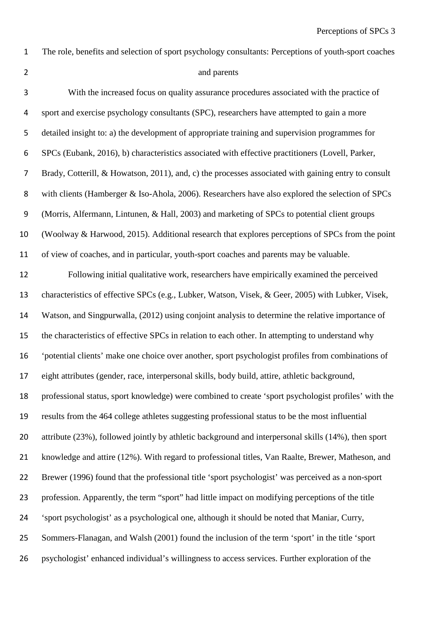# 2 and parents

The role, benefits and selection of sport psychology consultants: Perceptions of youth-sport coaches

| 3                | With the increased focus on quality assurance procedures associated with the practice of             |
|------------------|------------------------------------------------------------------------------------------------------|
| 4                | sport and exercise psychology consultants (SPC), researchers have attempted to gain a more           |
| 5                | detailed insight to: a) the development of appropriate training and supervision programmes for       |
| 6                | SPCs (Eubank, 2016), b) characteristics associated with effective practitioners (Lovell, Parker,     |
| 7                | Brady, Cotterill, & Howatson, 2011), and, c) the processes associated with gaining entry to consult  |
| 8                | with clients (Hamberger & Iso-Ahola, 2006). Researchers have also explored the selection of SPCs     |
| $\boldsymbol{9}$ | (Morris, Alfermann, Lintunen, & Hall, 2003) and marketing of SPCs to potential client groups         |
| 10               | (Woolway & Harwood, 2015). Additional research that explores perceptions of SPCs from the point      |
| 11               | of view of coaches, and in particular, youth-sport coaches and parents may be valuable.              |
| 12               | Following initial qualitative work, researchers have empirically examined the perceived              |
| 13               | characteristics of effective SPCs (e.g., Lubker, Watson, Visek, & Geer, 2005) with Lubker, Visek,    |
| 14               | Watson, and Singpurwalla, (2012) using conjoint analysis to determine the relative importance of     |
| 15               | the characteristics of effective SPCs in relation to each other. In attempting to understand why     |
| 16               | 'potential clients' make one choice over another, sport psychologist profiles from combinations of   |
| 17               | eight attributes (gender, race, interpersonal skills, body build, attire, athletic background,       |
| 18               | professional status, sport knowledge) were combined to create 'sport psychologist profiles' with the |
| 19               | results from the 464 college athletes suggesting professional status to be the most influential      |
| 20               | attribute (23%), followed jointly by athletic background and interpersonal skills (14%), then sport  |
| 21               | knowledge and attire (12%). With regard to professional titles, Van Raalte, Brewer, Matheson, and    |
| 22               | Brewer (1996) found that the professional title 'sport psychologist' was perceived as a non-sport    |
| 23               | profession. Apparently, the term "sport" had little impact on modifying perceptions of the title     |
| 24               | 'sport psychologist' as a psychological one, although it should be noted that Maniar, Curry,         |
| 25               | Sommers-Flanagan, and Walsh (2001) found the inclusion of the term 'sport' in the title 'sport       |
| 26               | psychologist' enhanced individual's willingness to access services. Further exploration of the       |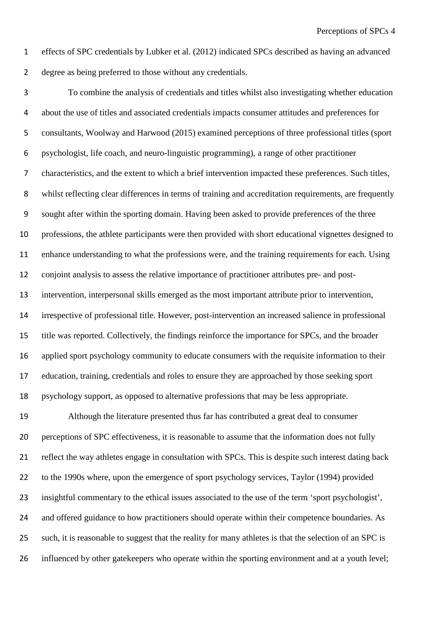effects of SPC credentials by Lubker et al. (2012) indicated SPCs described as having an advanced degree as being preferred to those without any credentials.

 To combine the analysis of credentials and titles whilst also investigating whether education about the use of titles and associated credentials impacts consumer attitudes and preferences for consultants, Woolway and Harwood (2015) examined perceptions of three professional titles (sport psychologist, life coach, and neuro-linguistic programming), a range of other practitioner characteristics, and the extent to which a brief intervention impacted these preferences. Such titles, whilst reflecting clear differences in terms of training and accreditation requirements, are frequently sought after within the sporting domain. Having been asked to provide preferences of the three professions, the athlete participants were then provided with short educational vignettes designed to enhance understanding to what the professions were, and the training requirements for each. Using conjoint analysis to assess the relative importance of practitioner attributes pre- and post- intervention, interpersonal skills emerged as the most important attribute prior to intervention, irrespective of professional title. However, post-intervention an increased salience in professional title was reported. Collectively, the findings reinforce the importance for SPCs, and the broader applied sport psychology community to educate consumers with the requisite information to their education, training, credentials and roles to ensure they are approached by those seeking sport psychology support, as opposed to alternative professions that may be less appropriate.

 Although the literature presented thus far has contributed a great deal to consumer perceptions of SPC effectiveness, it is reasonable to assume that the information does not fully reflect the way athletes engage in consultation with SPCs. This is despite such interest dating back to the 1990s where, upon the emergence of sport psychology services, Taylor (1994) provided insightful commentary to the ethical issues associated to the use of the term 'sport psychologist', 24 and offered guidance to how practitioners should operate within their competence boundaries. As such, it is reasonable to suggest that the reality for many athletes is that the selection of an SPC is influenced by other gatekeepers who operate within the sporting environment and at a youth level;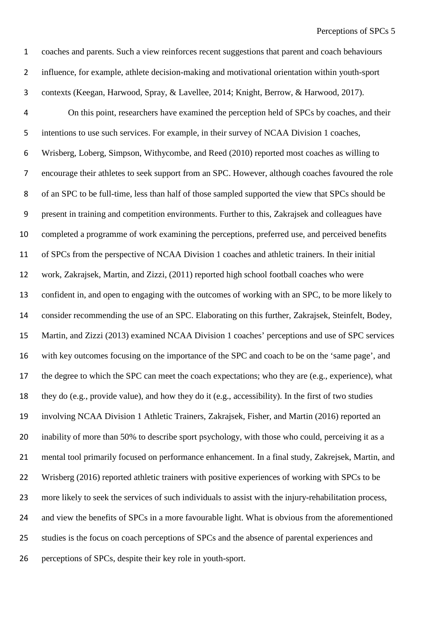coaches and parents. Such a view reinforces recent suggestions that parent and coach behaviours influence, for example, athlete decision-making and motivational orientation within youth-sport contexts (Keegan, Harwood, Spray, & Lavellee, 2014; Knight, Berrow, & Harwood, 2017). On this point, researchers have examined the perception held of SPCs by coaches, and their intentions to use such services. For example, in their survey of NCAA Division 1 coaches, Wrisberg, Loberg, Simpson, Withycombe, and Reed (2010) reported most coaches as willing to encourage their athletes to seek support from an SPC. However, although coaches favoured the role of an SPC to be full-time, less than half of those sampled supported the view that SPCs should be present in training and competition environments. Further to this, Zakrajsek and colleagues have completed a programme of work examining the perceptions, preferred use, and perceived benefits of SPCs from the perspective of NCAA Division 1 coaches and athletic trainers. In their initial work, Zakrajsek, Martin, and Zizzi, (2011) reported high school football coaches who were confident in, and open to engaging with the outcomes of working with an SPC, to be more likely to consider recommending the use of an SPC. Elaborating on this further, Zakrajsek, Steinfelt, Bodey, Martin, and Zizzi (2013) examined NCAA Division 1 coaches' perceptions and use of SPC services with key outcomes focusing on the importance of the SPC and coach to be on the 'same page', and the degree to which the SPC can meet the coach expectations; who they are (e.g., experience), what they do (e.g., provide value), and how they do it (e.g., accessibility). In the first of two studies involving NCAA Division 1 Athletic Trainers, Zakrajsek, Fisher, and Martin (2016) reported an 20 inability of more than 50% to describe sport psychology, with those who could, perceiving it as a mental tool primarily focused on performance enhancement. In a final study, Zakrejsek, Martin, and Wrisberg (2016) reported athletic trainers with positive experiences of working with SPCs to be more likely to seek the services of such individuals to assist with the injury-rehabilitation process, and view the benefits of SPCs in a more favourable light. What is obvious from the aforementioned studies is the focus on coach perceptions of SPCs and the absence of parental experiences and perceptions of SPCs, despite their key role in youth-sport.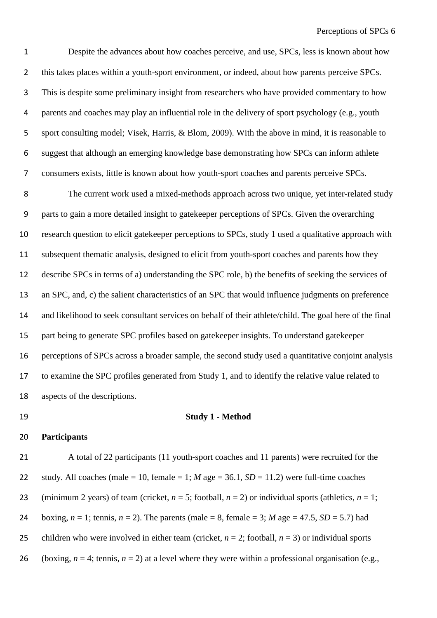Despite the advances about how coaches perceive, and use, SPCs, less is known about how this takes places within a youth-sport environment, or indeed, about how parents perceive SPCs. This is despite some preliminary insight from researchers who have provided commentary to how parents and coaches may play an influential role in the delivery of sport psychology (e.g., youth sport consulting model; Visek, Harris, & Blom, 2009). With the above in mind, it is reasonable to suggest that although an emerging knowledge base demonstrating how SPCs can inform athlete consumers exists, little is known about how youth-sport coaches and parents perceive SPCs.

 The current work used a mixed-methods approach across two unique, yet inter-related study parts to gain a more detailed insight to gatekeeper perceptions of SPCs. Given the overarching research question to elicit gatekeeper perceptions to SPCs, study 1 used a qualitative approach with subsequent thematic analysis, designed to elicit from youth-sport coaches and parents how they describe SPCs in terms of a) understanding the SPC role, b) the benefits of seeking the services of an SPC, and, c) the salient characteristics of an SPC that would influence judgments on preference and likelihood to seek consultant services on behalf of their athlete/child. The goal here of the final part being to generate SPC profiles based on gatekeeper insights. To understand gatekeeper perceptions of SPCs across a broader sample, the second study used a quantitative conjoint analysis to examine the SPC profiles generated from Study 1, and to identify the relative value related to aspects of the descriptions.

### **Study 1 - Method**

#### **Participants**

 A total of 22 participants (11 youth-sport coaches and 11 parents) were recruited for the 22 study. All coaches (male = 10, female = 1; *M* age = 36.1, *SD* = 11.2) were full-time coaches 23 (minimum 2 years) of team (cricket,  $n = 5$ ; football,  $n = 2$ ) or individual sports (athletics,  $n = 1$ ; 24 boxing,  $n = 1$ ; tennis,  $n = 2$ ). The parents (male = 8, female = 3; *M* age = 47.5, *SD* = 5.7) had 25 children who were involved in either team (cricket,  $n = 2$ ; football,  $n = 3$ ) or individual sports 26 (boxing,  $n = 4$ ; tennis,  $n = 2$ ) at a level where they were within a professional organisation (e.g.,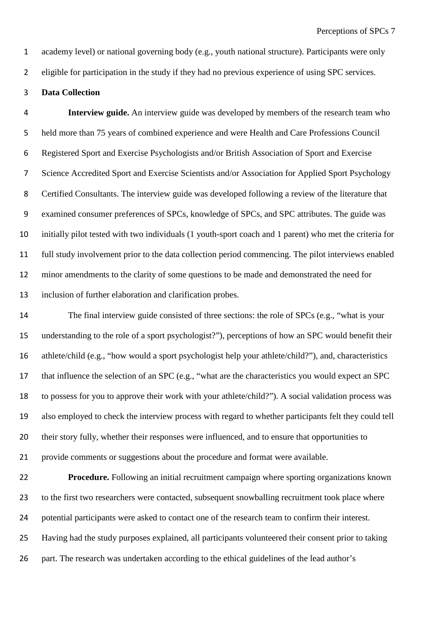academy level) or national governing body (e.g., youth national structure). Participants were only

eligible for participation in the study if they had no previous experience of using SPC services.

### **Data Collection**

 **Interview guide.** An interview guide was developed by members of the research team who held more than 75 years of combined experience and were Health and Care Professions Council Registered Sport and Exercise Psychologists and/or British Association of Sport and Exercise Science Accredited Sport and Exercise Scientists and/or Association for Applied Sport Psychology Certified Consultants. The interview guide was developed following a review of the literature that examined consumer preferences of SPCs, knowledge of SPCs, and SPC attributes. The guide was initially pilot tested with two individuals (1 youth-sport coach and 1 parent) who met the criteria for full study involvement prior to the data collection period commencing. The pilot interviews enabled minor amendments to the clarity of some questions to be made and demonstrated the need for inclusion of further elaboration and clarification probes.

14 The final interview guide consisted of three sections: the role of SPCs (e.g., "what is your understanding to the role of a sport psychologist?"), perceptions of how an SPC would benefit their athlete/child (e.g., "how would a sport psychologist help your athlete/child?"), and, characteristics that influence the selection of an SPC (e.g., "what are the characteristics you would expect an SPC to possess for you to approve their work with your athlete/child?"). A social validation process was also employed to check the interview process with regard to whether participants felt they could tell their story fully, whether their responses were influenced, and to ensure that opportunities to provide comments or suggestions about the procedure and format were available.

 **Procedure.** Following an initial recruitment campaign where sporting organizations known 23 to the first two researchers were contacted, subsequent snowballing recruitment took place where potential participants were asked to contact one of the research team to confirm their interest. Having had the study purposes explained, all participants volunteered their consent prior to taking 26 part. The research was undertaken according to the ethical guidelines of the lead author's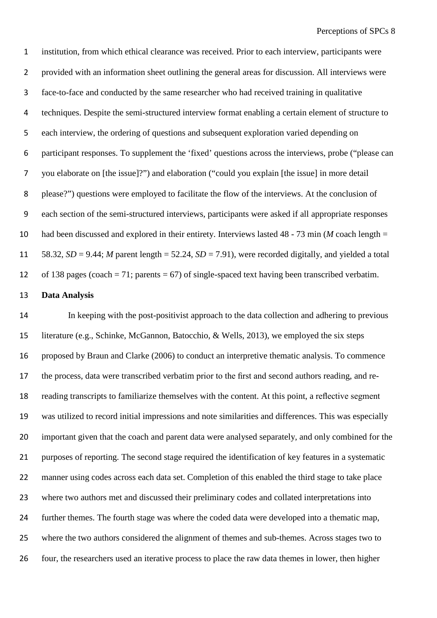institution, from which ethical clearance was received. Prior to each interview, participants were provided with an information sheet outlining the general areas for discussion. All interviews were face-to-face and conducted by the same researcher who had received training in qualitative techniques. Despite the semi-structured interview format enabling a certain element of structure to each interview, the ordering of questions and subsequent exploration varied depending on participant responses. To supplement the 'fixed' questions across the interviews, probe ("please can you elaborate on [the issue]?") and elaboration ("could you explain [the issue] in more detail please?") questions were employed to facilitate the flow of the interviews. At the conclusion of each section of the semi-structured interviews, participants were asked if all appropriate responses had been discussed and explored in their entirety. Interviews lasted 48 - 73 min (*M* coach length = 58.32, *SD* = 9.44; *M* parent length = 52.24, *SD* = 7.91), were recorded digitally, and yielded a total 12 of 138 pages (coach = 71; parents = 67) of single-spaced text having been transcribed verbatim.

### **Data Analysis**

 In keeping with the post-positivist approach to the data collection and adhering to previous literature (e.g., Schinke, McGannon, Batocchio, & Wells, 2013), we employed the six steps proposed by Braun and Clarke (2006) to conduct an interpretive thematic analysis. To commence the process, data were transcribed verbatim prior to the first and second authors reading, and re- reading transcripts to familiarize themselves with the content. At this point, a reflective segment was utilized to record initial impressions and note similarities and differences. This was especially important given that the coach and parent data were analysed separately, and only combined for the purposes of reporting. The second stage required the identification of key features in a systematic 22 manner using codes across each data set. Completion of this enabled the third stage to take place where two authors met and discussed their preliminary codes and collated interpretations into further themes. The fourth stage was where the coded data were developed into a thematic map, where the two authors considered the alignment of themes and sub-themes. Across stages two to four, the researchers used an iterative process to place the raw data themes in lower, then higher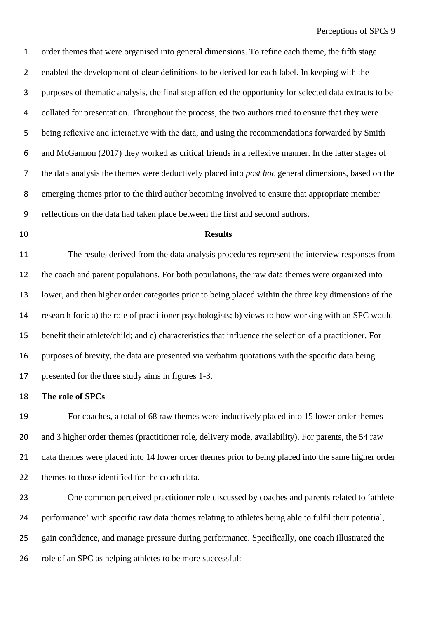order themes that were organised into general dimensions. To refine each theme, the fifth stage enabled the development of clear definitions to be derived for each label. In keeping with the purposes of thematic analysis, the final step afforded the opportunity for selected data extracts to be collated for presentation. Throughout the process, the two authors tried to ensure that they were being reflexive and interactive with the data, and using the recommendations forwarded by Smith and McGannon (2017) they worked as critical friends in a reflexive manner. In the latter stages of the data analysis the themes were deductively placed into *post hoc* general dimensions, based on the emerging themes prior to the third author becoming involved to ensure that appropriate member reflections on the data had taken place between the first and second authors.

#### **Results**

 The results derived from the data analysis procedures represent the interview responses from the coach and parent populations. For both populations, the raw data themes were organized into lower, and then higher order categories prior to being placed within the three key dimensions of the research foci: a) the role of practitioner psychologists; b) views to how working with an SPC would benefit their athlete/child; and c) characteristics that influence the selection of a practitioner. For purposes of brevity, the data are presented via verbatim quotations with the specific data being presented for the three study aims in figures 1-3.

#### **The role of SPCs**

 For coaches, a total of 68 raw themes were inductively placed into 15 lower order themes and 3 higher order themes (practitioner role, delivery mode, availability). For parents, the 54 raw data themes were placed into 14 lower order themes prior to being placed into the same higher order themes to those identified for the coach data.

 One common perceived practitioner role discussed by coaches and parents related to 'athlete performance' with specific raw data themes relating to athletes being able to fulfil their potential, gain confidence, and manage pressure during performance. Specifically, one coach illustrated the 26 role of an SPC as helping athletes to be more successful: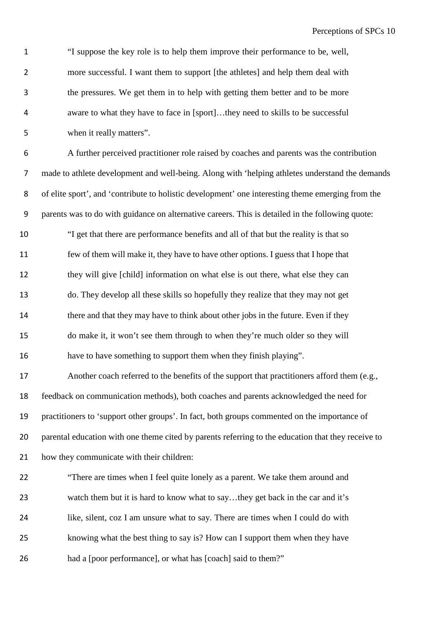"I suppose the key role is to help them improve their performance to be, well, more successful. I want them to support [the athletes] and help them deal with the pressures. We get them in to help with getting them better and to be more aware to what they have to face in [sport]…they need to skills to be successful when it really matters".

 A further perceived practitioner role raised by coaches and parents was the contribution made to athlete development and well-being. Along with 'helping athletes understand the demands of elite sport', and 'contribute to holistic development' one interesting theme emerging from the parents was to do with guidance on alternative careers. This is detailed in the following quote: "I get that there are performance benefits and all of that but the reality is that so few of them will make it, they have to have other options. I guess that I hope that they will give [child] information on what else is out there, what else they can do. They develop all these skills so hopefully they realize that they may not get there and that they may have to think about other jobs in the future. Even if they do make it, it won't see them through to when they're much older so they will have to have something to support them when they finish playing". Another coach referred to the benefits of the support that practitioners afford them (e.g.,

 feedback on communication methods), both coaches and parents acknowledged the need for practitioners to 'support other groups'. In fact, both groups commented on the importance of 20 parental education with one theme cited by parents referring to the education that they receive to

how they communicate with their children:

 "There are times when I feel quite lonely as a parent. We take them around and 23 watch them but it is hard to know what to say...they get back in the car and it's like, silent, coz I am unsure what to say. There are times when I could do with knowing what the best thing to say is? How can I support them when they have 26 had a [poor performance], or what has [coach] said to them?"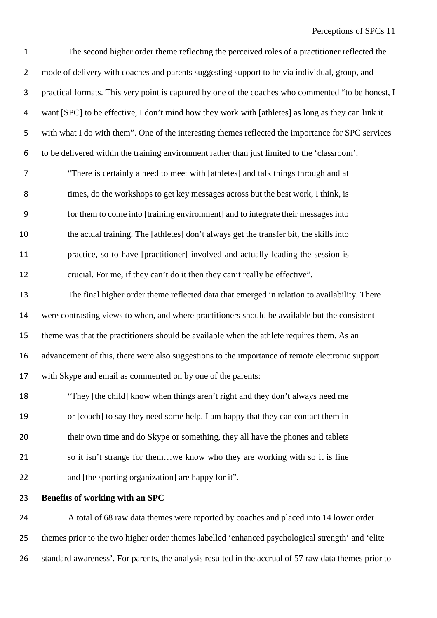The second higher order theme reflecting the perceived roles of a practitioner reflected the 2 mode of delivery with coaches and parents suggesting support to be via individual, group, and practical formats. This very point is captured by one of the coaches who commented "to be honest, I want [SPC] to be effective, I don't mind how they work with [athletes] as long as they can link it with what I do with them". One of the interesting themes reflected the importance for SPC services to be delivered within the training environment rather than just limited to the 'classroom'. "There is certainly a need to meet with [athletes] and talk things through and at times, do the workshops to get key messages across but the best work, I think, is for them to come into [training environment] and to integrate their messages into the actual training. The [athletes] don't always get the transfer bit, the skills into practice, so to have [practitioner] involved and actually leading the session is crucial. For me, if they can't do it then they can't really be effective". The final higher order theme reflected data that emerged in relation to availability. There were contrasting views to when, and where practitioners should be available but the consistent theme was that the practitioners should be available when the athlete requires them. As an advancement of this, there were also suggestions to the importance of remote electronic support with Skype and email as commented on by one of the parents: "They [the child] know when things aren't right and they don't always need me or [coach] to say they need some help. I am happy that they can contact them in their own time and do Skype or something, they all have the phones and tablets 21 so it isn't strange for them...we know who they are working with so it is fine and [the sporting organization] are happy for it". **Benefits of working with an SPC**

 A total of 68 raw data themes were reported by coaches and placed into 14 lower order themes prior to the two higher order themes labelled 'enhanced psychological strength' and 'elite standard awareness'. For parents, the analysis resulted in the accrual of 57 raw data themes prior to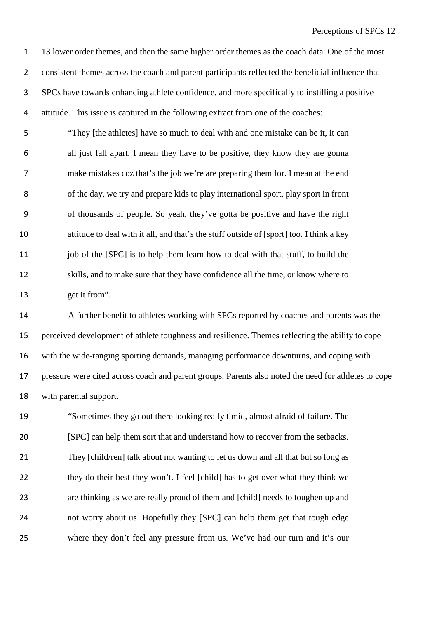13 lower order themes, and then the same higher order themes as the coach data. One of the most consistent themes across the coach and parent participants reflected the beneficial influence that SPCs have towards enhancing athlete confidence, and more specifically to instilling a positive attitude. This issue is captured in the following extract from one of the coaches:

 "They [the athletes] have so much to deal with and one mistake can be it, it can all just fall apart. I mean they have to be positive, they know they are gonna make mistakes coz that's the job we're are preparing them for. I mean at the end of the day, we try and prepare kids to play international sport, play sport in front of thousands of people. So yeah, they've gotta be positive and have the right attitude to deal with it all, and that's the stuff outside of [sport] too. I think a key 11 job of the [SPC] is to help them learn how to deal with that stuff, to build the skills, and to make sure that they have confidence all the time, or know where to get it from".

 A further benefit to athletes working with SPCs reported by coaches and parents was the perceived development of athlete toughness and resilience. Themes reflecting the ability to cope with the wide-ranging sporting demands, managing performance downturns, and coping with pressure were cited across coach and parent groups. Parents also noted the need for athletes to cope with parental support.

 "Sometimes they go out there looking really timid, almost afraid of failure. The [SPC] can help them sort that and understand how to recover from the setbacks. They [child/ren] talk about not wanting to let us down and all that but so long as they do their best they won't. I feel [child] has to get over what they think we are thinking as we are really proud of them and [child] needs to toughen up and not worry about us. Hopefully they [SPC] can help them get that tough edge where they don't feel any pressure from us. We've had our turn and it's our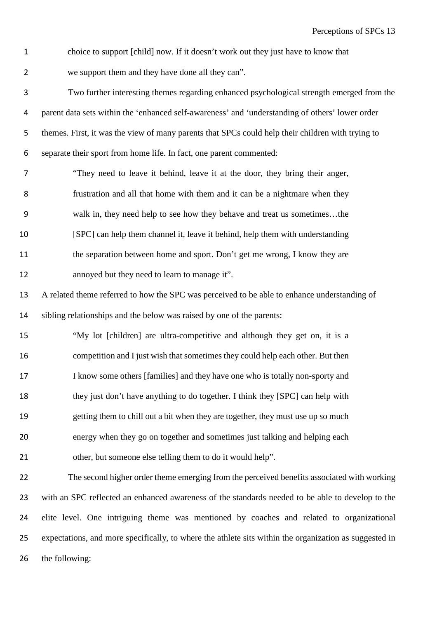choice to support [child] now. If it doesn't work out they just have to know that we support them and they have done all they can".

 Two further interesting themes regarding enhanced psychological strength emerged from the parent data sets within the 'enhanced self-awareness' and 'understanding of others' lower order themes. First, it was the view of many parents that SPCs could help their children with trying to separate their sport from home life. In fact, one parent commented:

 "They need to leave it behind, leave it at the door, they bring their anger, frustration and all that home with them and it can be a nightmare when they walk in, they need help to see how they behave and treat us sometimes…the [SPC] can help them channel it, leave it behind, help them with understanding the separation between home and sport. Don't get me wrong, I know they are annoyed but they need to learn to manage it".

 A related theme referred to how the SPC was perceived to be able to enhance understanding of sibling relationships and the below was raised by one of the parents:

 "My lot [children] are ultra-competitive and although they get on, it is a competition and I just wish that sometimes they could help each other. But then I know some others [families] and they have one who is totally non-sporty and they just don't have anything to do together. I think they [SPC] can help with getting them to chill out a bit when they are together, they must use up so much energy when they go on together and sometimes just talking and helping each

other, but someone else telling them to do it would help".

 The second higher order theme emerging from the perceived benefits associated with working with an SPC reflected an enhanced awareness of the standards needed to be able to develop to the elite level. One intriguing theme was mentioned by coaches and related to organizational expectations, and more specifically, to where the athlete sits within the organization as suggested in the following: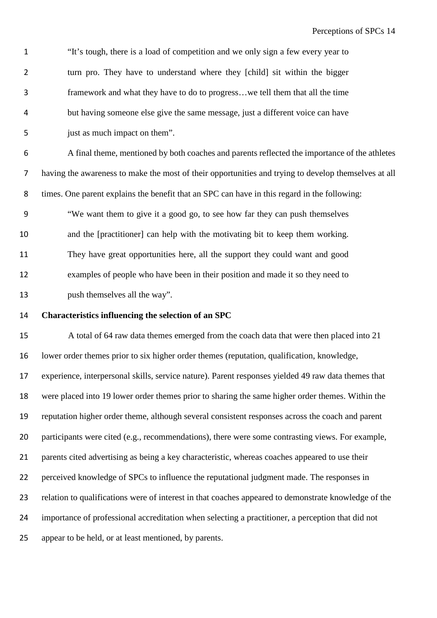| $\mathbf{1}$   | "It's tough, there is a load of competition and we only sign a few every year to                     |
|----------------|------------------------------------------------------------------------------------------------------|
| $\overline{2}$ | turn pro. They have to understand where they [child] sit within the bigger                           |
| 3              | framework and what they have to do to progress we tell them that all the time                        |
| 4              | but having someone else give the same message, just a different voice can have                       |
| 5              | just as much impact on them".                                                                        |
| 6              | A final theme, mentioned by both coaches and parents reflected the importance of the athletes        |
| 7              | having the awareness to make the most of their opportunities and trying to develop themselves at all |
| 8              | times. One parent explains the benefit that an SPC can have in this regard in the following:         |
| 9              | "We want them to give it a good go, to see how far they can push themselves                          |
| 10             | and the [practitioner] can help with the motivating bit to keep them working.                        |
| 11             | They have great opportunities here, all the support they could want and good                         |
| 12             | examples of people who have been in their position and made it so they need to                       |
| 13             | push themselves all the way".                                                                        |
| 14             | Characteristics influencing the selection of an SPC                                                  |

 A total of 64 raw data themes emerged from the coach data that were then placed into 21 lower order themes prior to six higher order themes (reputation, qualification, knowledge, experience, interpersonal skills, service nature). Parent responses yielded 49 raw data themes that were placed into 19 lower order themes prior to sharing the same higher order themes. Within the reputation higher order theme, although several consistent responses across the coach and parent 20 participants were cited (e.g., recommendations), there were some contrasting views. For example, parents cited advertising as being a key characteristic, whereas coaches appeared to use their perceived knowledge of SPCs to influence the reputational judgment made. The responses in relation to qualifications were of interest in that coaches appeared to demonstrate knowledge of the importance of professional accreditation when selecting a practitioner, a perception that did not appear to be held, or at least mentioned, by parents.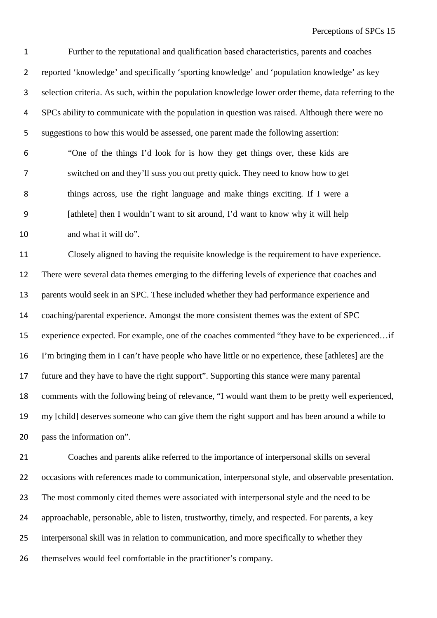Further to the reputational and qualification based characteristics, parents and coaches reported 'knowledge' and specifically 'sporting knowledge' and 'population knowledge' as key selection criteria. As such, within the population knowledge lower order theme, data referring to the SPCs ability to communicate with the population in question was raised. Although there were no suggestions to how this would be assessed, one parent made the following assertion:

 "One of the things I'd look for is how they get things over, these kids are switched on and they'll suss you out pretty quick. They need to know how to get things across, use the right language and make things exciting. If I were a [athlete] then I wouldn't want to sit around, I'd want to know why it will help and what it will do".

 Closely aligned to having the requisite knowledge is the requirement to have experience. There were several data themes emerging to the differing levels of experience that coaches and parents would seek in an SPC. These included whether they had performance experience and coaching/parental experience. Amongst the more consistent themes was the extent of SPC experience expected. For example, one of the coaches commented "they have to be experienced…if I'm bringing them in I can't have people who have little or no experience, these [athletes] are the future and they have to have the right support". Supporting this stance were many parental comments with the following being of relevance, "I would want them to be pretty well experienced, my [child] deserves someone who can give them the right support and has been around a while to pass the information on".

 Coaches and parents alike referred to the importance of interpersonal skills on several occasions with references made to communication, interpersonal style, and observable presentation. 23 The most commonly cited themes were associated with interpersonal style and the need to be approachable, personable, able to listen, trustworthy, timely, and respected. For parents, a key interpersonal skill was in relation to communication, and more specifically to whether they themselves would feel comfortable in the practitioner's company.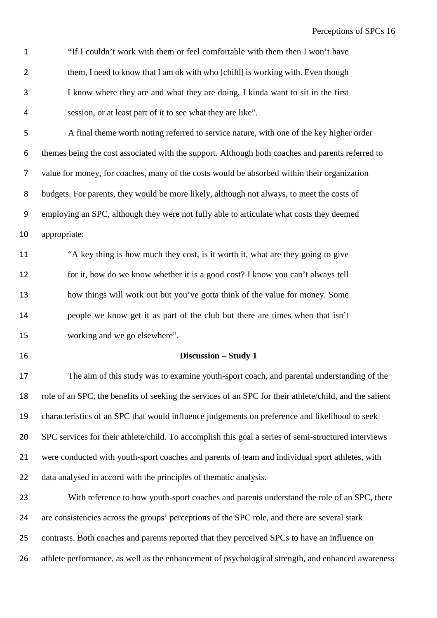"If I couldn't work with them or feel comfortable with them then I won't have 2 them, I need to know that I am ok with who [child] is working with. Even though I know where they are and what they are doing, I kinda want to sit in the first session, or at least part of it to see what they are like".

 A final theme worth noting referred to service nature, with one of the key higher order themes being the cost associated with the support. Although both coaches and parents referred to value for money, for coaches, many of the costs would be absorbed within their organization budgets. For parents, they would be more likely, although not always, to meet the costs of employing an SPC, although they were not fully able to articulate what costs they deemed appropriate:

 "A key thing is how much they cost, is it worth it, what are they going to give for it, how do we know whether it is a good cost? I know you can't always tell how things will work out but you've gotta think of the value for money. Some people we know get it as part of the club but there are times when that isn't working and we go elsewhere".

### **Discussion – Study 1**

 The aim of this study was to examine youth-sport coach, and parental understanding of the role of an SPC, the benefits of seeking the services of an SPC for their athlete/child, and the salient characteristics of an SPC that would influence judgements on preference and likelihood to seek SPC services for their athlete/child. To accomplish this goal a series of semi-structured interviews were conducted with youth-sport coaches and parents of team and individual sport athletes, with data analysed in accord with the principles of thematic analysis.

23 With reference to how youth-sport coaches and parents understand the role of an SPC, there are consistencies across the groups' perceptions of the SPC role, and there are several stark contrasts. Both coaches and parents reported that they perceived SPCs to have an influence on athlete performance, as well as the enhancement of psychological strength, and enhanced awareness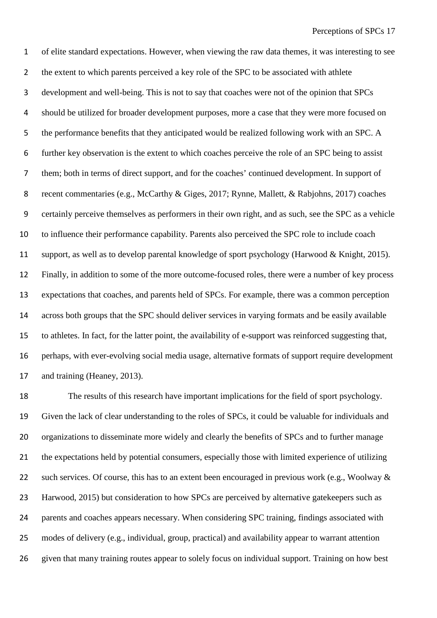of elite standard expectations. However, when viewing the raw data themes, it was interesting to see the extent to which parents perceived a key role of the SPC to be associated with athlete development and well-being. This is not to say that coaches were not of the opinion that SPCs should be utilized for broader development purposes, more a case that they were more focused on the performance benefits that they anticipated would be realized following work with an SPC. A further key observation is the extent to which coaches perceive the role of an SPC being to assist them; both in terms of direct support, and for the coaches' continued development. In support of recent commentaries (e.g., McCarthy & Giges, 2017; Rynne, Mallett, & Rabjohns, 2017) coaches certainly perceive themselves as performers in their own right, and as such, see the SPC as a vehicle to influence their performance capability. Parents also perceived the SPC role to include coach support, as well as to develop parental knowledge of sport psychology (Harwood & Knight, 2015). Finally, in addition to some of the more outcome-focused roles, there were a number of key process expectations that coaches, and parents held of SPCs. For example, there was a common perception across both groups that the SPC should deliver services in varying formats and be easily available to athletes. In fact, for the latter point, the availability of e-support was reinforced suggesting that, perhaps, with ever-evolving social media usage, alternative formats of support require development and training (Heaney, 2013).

 The results of this research have important implications for the field of sport psychology. Given the lack of clear understanding to the roles of SPCs, it could be valuable for individuals and organizations to disseminate more widely and clearly the benefits of SPCs and to further manage the expectations held by potential consumers, especially those with limited experience of utilizing 22 such services. Of course, this has to an extent been encouraged in previous work (e.g., Woolway & Harwood, 2015) but consideration to how SPCs are perceived by alternative gatekeepers such as parents and coaches appears necessary. When considering SPC training, findings associated with modes of delivery (e.g., individual, group, practical) and availability appear to warrant attention given that many training routes appear to solely focus on individual support. Training on how best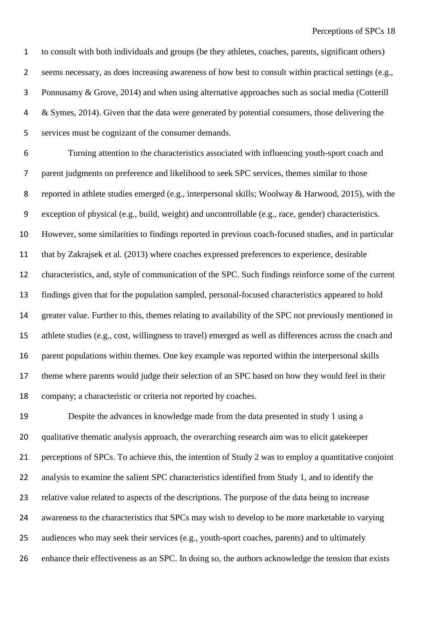to consult with both individuals and groups (be they athletes, coaches, parents, significant others) seems necessary, as does increasing awareness of how best to consult within practical settings (e.g., Ponnusamy & Grove, 2014) and when using alternative approaches such as social media (Cotterill & Symes, 2014). Given that the data were generated by potential consumers, those delivering the services must be cognizant of the consumer demands.

 Turning attention to the characteristics associated with influencing youth-sport coach and parent judgments on preference and likelihood to seek SPC services, themes similar to those reported in athlete studies emerged (e.g., interpersonal skills; Woolway & Harwood, 2015), with the exception of physical (e.g., build, weight) and uncontrollable (e.g., race, gender) characteristics. However, some similarities to findings reported in previous coach-focused studies, and in particular that by Zakrajsek et al. (2013) where coaches expressed preferences to experience, desirable characteristics, and, style of communication of the SPC. Such findings reinforce some of the current findings given that for the population sampled, personal-focused characteristics appeared to hold greater value. Further to this, themes relating to availability of the SPC not previously mentioned in athlete studies (e.g., cost, willingness to travel) emerged as well as differences across the coach and parent populations within themes. One key example was reported within the interpersonal skills theme where parents would judge their selection of an SPC based on how they would feel in their company; a characteristic or criteria not reported by coaches.

 Despite the advances in knowledge made from the data presented in study 1 using a qualitative thematic analysis approach, the overarching research aim was to elicit gatekeeper perceptions of SPCs. To achieve this, the intention of Study 2 was to employ a quantitative conjoint analysis to examine the salient SPC characteristics identified from Study 1, and to identify the relative value related to aspects of the descriptions. The purpose of the data being to increase awareness to the characteristics that SPCs may wish to develop to be more marketable to varying audiences who may seek their services (e.g., youth-sport coaches, parents) and to ultimately enhance their effectiveness as an SPC. In doing so, the authors acknowledge the tension that exists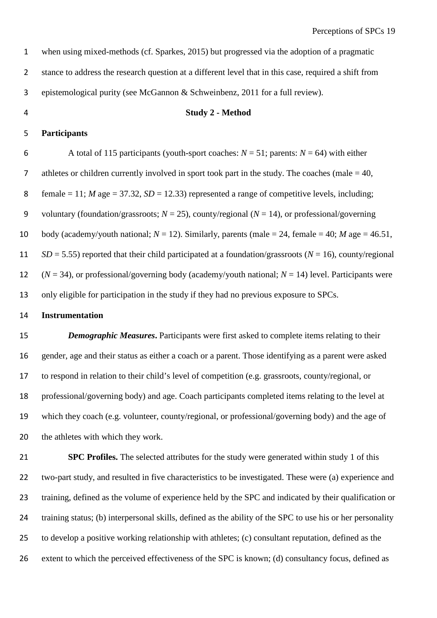| 1              | when using mixed-methods (cf. Sparkes, 2015) but progressed via the adoption of a pragmatic                   |
|----------------|---------------------------------------------------------------------------------------------------------------|
| $\overline{2}$ | stance to address the research question at a different level that in this case, required a shift from         |
| 3              | epistemological purity (see McGannon & Schweinbenz, 2011 for a full review).                                  |
| 4              | <b>Study 2 - Method</b>                                                                                       |
| 5              | <b>Participants</b>                                                                                           |
| 6              | A total of 115 participants (youth-sport coaches: $N = 51$ ; parents: $N = 64$ ) with either                  |
| 7              | athletes or children currently involved in sport took part in the study. The coaches (male $= 40$ ,           |
| 8              | female = 11; <i>M</i> age = 37.32, <i>SD</i> = 12.33) represented a range of competitive levels, including;   |
| 9              | voluntary (foundation/grassroots; $N = 25$ ), county/regional ( $N = 14$ ), or professional/governing         |
| 10             | body (academy/youth national; $N = 12$ ). Similarly, parents (male = 24, female = 40; M age = 46.51,          |
| 11             | $SD = 5.55$ ) reported that their child participated at a foundation/grassroots ( $N = 16$ ), county/regional |
| 12             | $(N = 34)$ , or professional/governing body (academy/youth national; $N = 14$ ) level. Participants were      |
| 13             | only eligible for participation in the study if they had no previous exposure to SPCs.                        |

#### **Instrumentation**

*Demographic Measures*. Participants were first asked to complete items relating to their gender, age and their status as either a coach or a parent. Those identifying as a parent were asked to respond in relation to their child's level of competition (e.g. grassroots, county/regional, or professional/governing body) and age. Coach participants completed items relating to the level at which they coach (e.g. volunteer, county/regional, or professional/governing body) and the age of the athletes with which they work.

 **SPC Profiles.** The selected attributes for the study were generated within study 1 of this two-part study, and resulted in five characteristics to be investigated. These were (a) experience and training, defined as the volume of experience held by the SPC and indicated by their qualification or training status; (b) interpersonal skills, defined as the ability of the SPC to use his or her personality to develop a positive working relationship with athletes; (c) consultant reputation, defined as the extent to which the perceived effectiveness of the SPC is known; (d) consultancy focus, defined as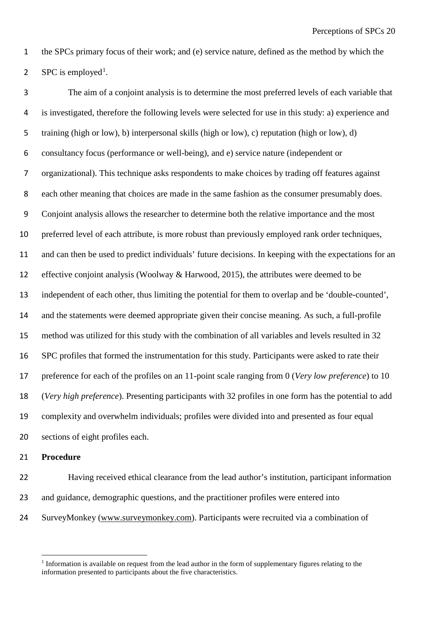the SPCs primary focus of their work; and (e) service nature, defined as the method by which the

2 SPC is employed<sup>[1](#page-19-0)</sup>.

 The aim of a conjoint analysis is to determine the most preferred levels of each variable that is investigated, therefore the following levels were selected for use in this study: a) experience and training (high or low), b) interpersonal skills (high or low), c) reputation (high or low), d) consultancy focus (performance or well-being), and e) service nature (independent or organizational). This technique asks respondents to make choices by trading off features against each other meaning that choices are made in the same fashion as the consumer presumably does. Conjoint analysis allows the researcher to determine both the relative importance and the most preferred level of each attribute, is more robust than previously employed rank order techniques, and can then be used to predict individuals' future decisions. In keeping with the expectations for an effective conjoint analysis (Woolway & Harwood, 2015), the attributes were deemed to be independent of each other, thus limiting the potential for them to overlap and be 'double-counted', and the statements were deemed appropriate given their concise meaning. As such, a full-profile method was utilized for this study with the combination of all variables and levels resulted in 32 SPC profiles that formed the instrumentation for this study. Participants were asked to rate their preference for each of the profiles on an 11-point scale ranging from 0 (*Very low preference*) to 10 (*Very high preference*). Presenting participants with 32 profiles in one form has the potential to add complexity and overwhelm individuals; profiles were divided into and presented as four equal sections of eight profiles each.

### **Procedure**

 $\overline{a}$ 

 Having received ethical clearance from the lead author's institution, participant information 23 and guidance, demographic questions, and the practitioner profiles were entered into SurveyMonkey [\(www.surveymonkey.com\)](http://www.surveymonkey.com/). Participants were recruited via a combination of

<span id="page-19-0"></span><sup>&</sup>lt;sup>1</sup> Information is available on request from the lead author in the form of supplementary figures relating to the information presented to participants about the five characteristics.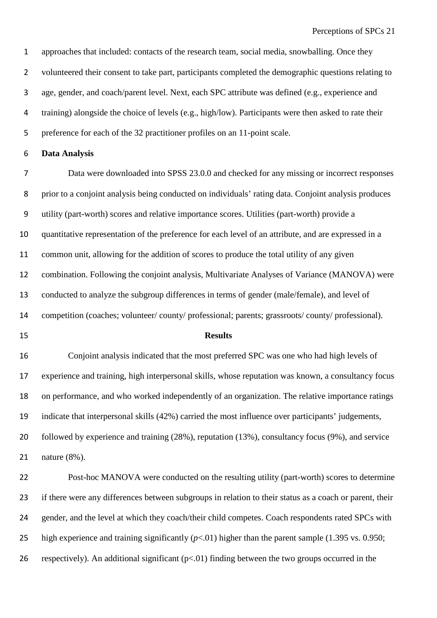approaches that included: contacts of the research team, social media, snowballing. Once they volunteered their consent to take part, participants completed the demographic questions relating to age, gender, and coach/parent level. Next, each SPC attribute was defined (e.g., experience and training) alongside the choice of levels (e.g., high/low). Participants were then asked to rate their preference for each of the 32 practitioner profiles on an 11-point scale.

### **Data Analysis**

 Data were downloaded into SPSS 23.0.0 and checked for any missing or incorrect responses prior to a conjoint analysis being conducted on individuals' rating data. Conjoint analysis produces utility (part-worth) scores and relative importance scores. Utilities (part-worth) provide a quantitative representation of the preference for each level of an attribute, and are expressed in a common unit, allowing for the addition of scores to produce the total utility of any given combination. Following the conjoint analysis, Multivariate Analyses of Variance (MANOVA) were conducted to analyze the subgroup differences in terms of gender (male/female), and level of competition (coaches; volunteer/ county/ professional; parents; grassroots/ county/ professional).

#### **Results**

 Conjoint analysis indicated that the most preferred SPC was one who had high levels of experience and training, high interpersonal skills, whose reputation was known, a consultancy focus on performance, and who worked independently of an organization. The relative importance ratings indicate that interpersonal skills (42%) carried the most influence over participants' judgements, followed by experience and training (28%), reputation (13%), consultancy focus (9%), and service nature (8%).

 Post-hoc MANOVA were conducted on the resulting utility (part-worth) scores to determine if there were any differences between subgroups in relation to their status as a coach or parent, their 24 gender, and the level at which they coach/their child competes. Coach respondents rated SPCs with 25 high experience and training significantly ( $p<.01$ ) higher than the parent sample (1.395 vs. 0.950; 26 respectively). An additional significant  $(p<0.01)$  finding between the two groups occurred in the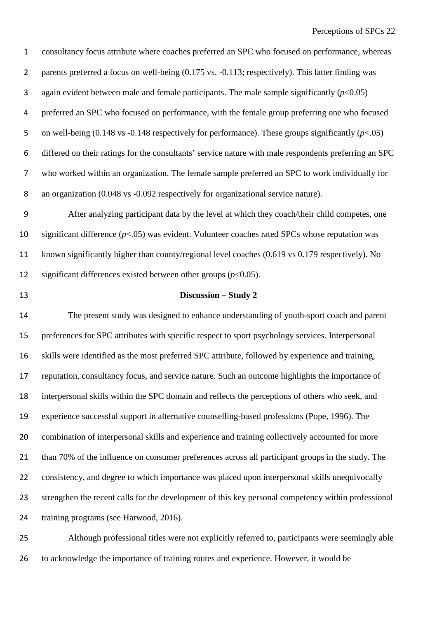consultancy focus attribute where coaches preferred an SPC who focused on performance, whereas 2 parents preferred a focus on well-being  $(0.175 \text{ vs. } -0.113)$ ; respectively). This latter finding was 3 again evident between male and female participants. The male sample significantly  $(p<0.05)$  preferred an SPC who focused on performance, with the female group preferring one who focused on well-being (0.148 vs -0.148 respectively for performance). These groups significantly (*p*<.05) differed on their ratings for the consultants' service nature with male respondents preferring an SPC who worked within an organization. The female sample preferred an SPC to work individually for an organization (0.048 vs -0.092 respectively for organizational service nature).

 After analyzing participant data by the level at which they coach/their child competes, one significant difference (*p*<.05) was evident. Volunteer coaches rated SPCs whose reputation was known significantly higher than county/regional level coaches (0.619 vs 0.179 respectively). No significant differences existed between other groups (*p*<0.05).

### **Discussion – Study 2**

 The present study was designed to enhance understanding of youth-sport coach and parent preferences for SPC attributes with specific respect to sport psychology services. Interpersonal skills were identified as the most preferred SPC attribute, followed by experience and training, reputation, consultancy focus, and service nature. Such an outcome highlights the importance of interpersonal skills within the SPC domain and reflects the perceptions of others who seek, and experience successful support in alternative counselling-based professions (Pope, 1996). The combination of interpersonal skills and experience and training collectively accounted for more than 70% of the influence on consumer preferences across all participant groups in the study. The consistency, and degree to which importance was placed upon interpersonal skills unequivocally strengthen the recent calls for the development of this key personal competency within professional training programs (see Harwood, 2016).

 Although professional titles were not explicitly referred to, participants were seemingly able to acknowledge the importance of training routes and experience. However, it would be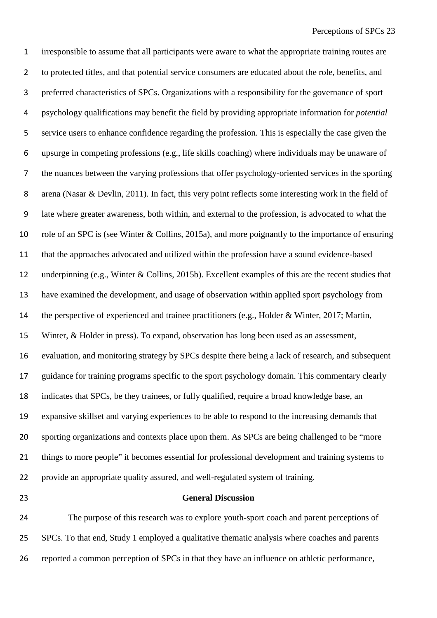irresponsible to assume that all participants were aware to what the appropriate training routes are to protected titles, and that potential service consumers are educated about the role, benefits, and preferred characteristics of SPCs. Organizations with a responsibility for the governance of sport psychology qualifications may benefit the field by providing appropriate information for *potential* service users to enhance confidence regarding the profession. This is especially the case given the upsurge in competing professions (e.g., life skills coaching) where individuals may be unaware of the nuances between the varying professions that offer psychology-oriented services in the sporting arena (Nasar & Devlin, 2011). In fact, this very point reflects some interesting work in the field of late where greater awareness, both within, and external to the profession, is advocated to what the role of an SPC is (see Winter & Collins, 2015a), and more poignantly to the importance of ensuring that the approaches advocated and utilized within the profession have a sound evidence-based underpinning (e.g., Winter & Collins, 2015b). Excellent examples of this are the recent studies that have examined the development, and usage of observation within applied sport psychology from the perspective of experienced and trainee practitioners (e.g., Holder & Winter, 2017; Martin, Winter, & Holder in press). To expand, observation has long been used as an assessment, evaluation, and monitoring strategy by SPCs despite there being a lack of research, and subsequent guidance for training programs specific to the sport psychology domain. This commentary clearly indicates that SPCs, be they trainees, or fully qualified, require a broad knowledge base, an expansive skillset and varying experiences to be able to respond to the increasing demands that sporting organizations and contexts place upon them. As SPCs are being challenged to be "more things to more people" it becomes essential for professional development and training systems to provide an appropriate quality assured, and well-regulated system of training.

#### **General Discussion**

 The purpose of this research was to explore youth-sport coach and parent perceptions of SPCs. To that end, Study 1 employed a qualitative thematic analysis where coaches and parents reported a common perception of SPCs in that they have an influence on athletic performance,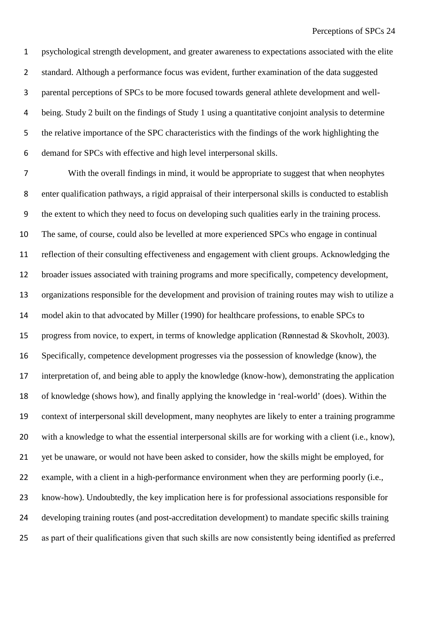psychological strength development, and greater awareness to expectations associated with the elite standard. Although a performance focus was evident, further examination of the data suggested parental perceptions of SPCs to be more focused towards general athlete development and well- being. Study 2 built on the findings of Study 1 using a quantitative conjoint analysis to determine the relative importance of the SPC characteristics with the findings of the work highlighting the demand for SPCs with effective and high level interpersonal skills.

 With the overall findings in mind, it would be appropriate to suggest that when neophytes enter qualification pathways, a rigid appraisal of their interpersonal skills is conducted to establish the extent to which they need to focus on developing such qualities early in the training process. The same, of course, could also be levelled at more experienced SPCs who engage in continual reflection of their consulting effectiveness and engagement with client groups. Acknowledging the broader issues associated with training programs and more specifically, competency development, organizations responsible for the development and provision of training routes may wish to utilize a model akin to that advocated by Miller (1990) for healthcare professions, to enable SPCs to progress from novice, to expert, in terms of knowledge application (Rønnestad & Skovholt, 2003). Specifically, competence development progresses via the possession of knowledge (know), the interpretation of, and being able to apply the knowledge (know-how), demonstrating the application of knowledge (shows how), and finally applying the knowledge in 'real-world' (does). Within the context of interpersonal skill development, many neophytes are likely to enter a training programme with a knowledge to what the essential interpersonal skills are for working with a client (i.e., know), yet be unaware, or would not have been asked to consider, how the skills might be employed, for example, with a client in a high-performance environment when they are performing poorly (i.e., know-how). Undoubtedly, the key implication here is for professional associations responsible for developing training routes (and post-accreditation development) to mandate specific skills training as part of their qualifications given that such skills are now consistently being identified as preferred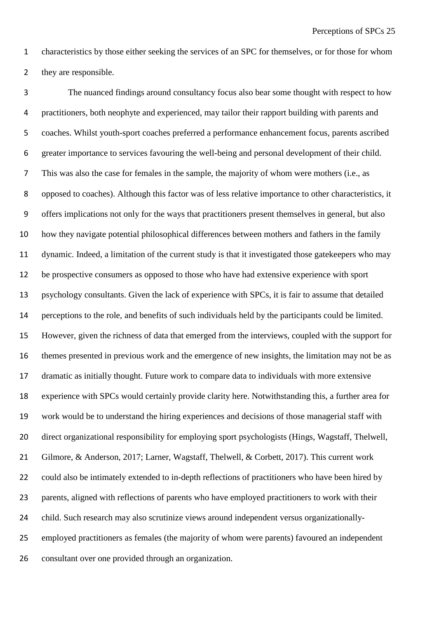characteristics by those either seeking the services of an SPC for themselves, or for those for whom they are responsible.

 The nuanced findings around consultancy focus also bear some thought with respect to how practitioners, both neophyte and experienced, may tailor their rapport building with parents and coaches. Whilst youth-sport coaches preferred a performance enhancement focus, parents ascribed greater importance to services favouring the well-being and personal development of their child. This was also the case for females in the sample, the majority of whom were mothers (i.e., as opposed to coaches). Although this factor was of less relative importance to other characteristics, it offers implications not only for the ways that practitioners present themselves in general, but also how they navigate potential philosophical differences between mothers and fathers in the family dynamic. Indeed, a limitation of the current study is that it investigated those gatekeepers who may be prospective consumers as opposed to those who have had extensive experience with sport psychology consultants. Given the lack of experience with SPCs, it is fair to assume that detailed perceptions to the role, and benefits of such individuals held by the participants could be limited. However, given the richness of data that emerged from the interviews, coupled with the support for themes presented in previous work and the emergence of new insights, the limitation may not be as dramatic as initially thought. Future work to compare data to individuals with more extensive experience with SPCs would certainly provide clarity here. Notwithstanding this, a further area for work would be to understand the hiring experiences and decisions of those managerial staff with direct organizational responsibility for employing sport psychologists (Hings, Wagstaff, Thelwell, 21 Gilmore, & Anderson, 2017; Larner, Wagstaff, Thelwell, & Corbett, 2017). This current work could also be intimately extended to in-depth reflections of practitioners who have been hired by parents, aligned with reflections of parents who have employed practitioners to work with their child. Such research may also scrutinize views around independent versus organizationally- employed practitioners as females (the majority of whom were parents) favoured an independent consultant over one provided through an organization.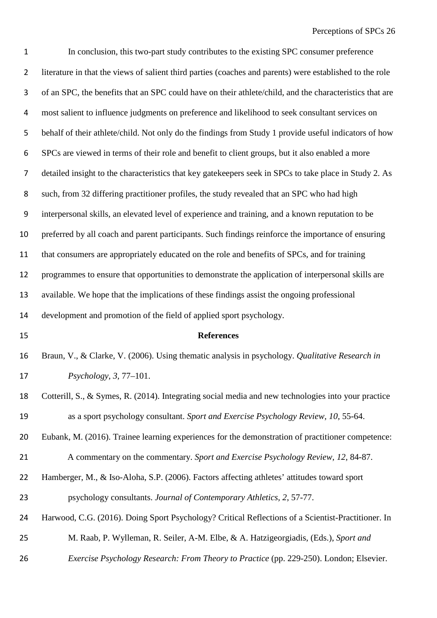| $\mathbf 1$    | In conclusion, this two-part study contributes to the existing SPC consumer preference                   |
|----------------|----------------------------------------------------------------------------------------------------------|
| $\overline{2}$ | literature in that the views of salient third parties (coaches and parents) were established to the role |
| 3              | of an SPC, the benefits that an SPC could have on their athlete/child, and the characteristics that are  |
| 4              | most salient to influence judgments on preference and likelihood to seek consultant services on          |
| 5              | behalf of their athlete/child. Not only do the findings from Study 1 provide useful indicators of how    |
| 6              | SPCs are viewed in terms of their role and benefit to client groups, but it also enabled a more          |
| 7              | detailed insight to the characteristics that key gatekeepers seek in SPCs to take place in Study 2. As   |
| 8              | such, from 32 differing practitioner profiles, the study revealed that an SPC who had high               |
| 9              | interpersonal skills, an elevated level of experience and training, and a known reputation to be         |
| 10             | preferred by all coach and parent participants. Such findings reinforce the importance of ensuring       |
| 11             | that consumers are appropriately educated on the role and benefits of SPCs, and for training             |
| 12             | programmes to ensure that opportunities to demonstrate the application of interpersonal skills are       |
| 13             | available. We hope that the implications of these findings assist the ongoing professional               |
| 14             | development and promotion of the field of applied sport psychology.                                      |
| 15             | <b>References</b>                                                                                        |
| 16             | Braun, V., & Clarke, V. (2006). Using thematic analysis in psychology. Qualitative Research in           |
| 17             | <i>Psychology, 3, 77–101.</i>                                                                            |
| 18             | Cotterill, S., & Symes, R. (2014). Integrating social media and new technologies into your practice      |
| 19             | as a sport psychology consultant. Sport and Exercise Psychology Review, 10, 55-64.                       |
| 20             | Eubank, M. (2016). Trainee learning experiences for the demonstration of practitioner competence:        |
| 21             | A commentary on the commentary. Sport and Exercise Psychology Review, 12, 84-87.                         |
| 22             | Hamberger, M., & Iso-Aloha, S.P. (2006). Factors affecting athletes' attitudes toward sport              |
| 23             | psychology consultants. Journal of Contemporary Athletics, 2, 57-77.                                     |
| 24             | Harwood, C.G. (2016). Doing Sport Psychology? Critical Reflections of a Scientist-Practitioner. In       |
| 25             | M. Raab, P. Wylleman, R. Seiler, A-M. Elbe, & A. Hatzigeorgiadis, (Eds.), Sport and                      |
|                |                                                                                                          |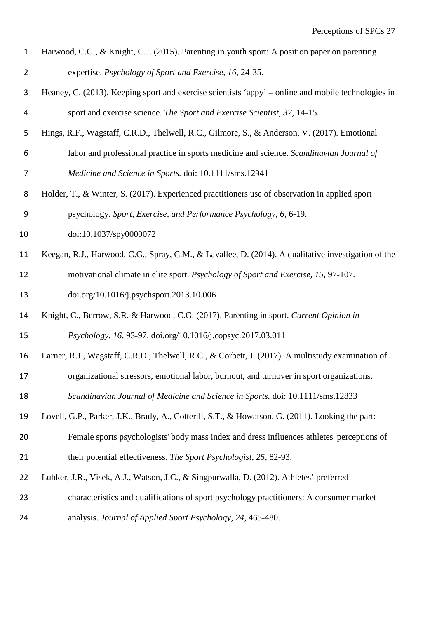| $\mathbf{1}$   | Harwood, C.G., & Knight, C.J. (2015). Parenting in youth sport: A position paper on parenting       |
|----------------|-----------------------------------------------------------------------------------------------------|
| $\overline{2}$ | expertise. Psychology of Sport and Exercise, 16, 24-35.                                             |
| 3              | Heaney, C. (2013). Keeping sport and exercise scientists 'appy' – online and mobile technologies in |
| 4              | sport and exercise science. The Sport and Exercise Scientist, 37, 14-15.                            |
| 5              | Hings, R.F., Wagstaff, C.R.D., Thelwell, R.C., Gilmore, S., & Anderson, V. (2017). Emotional        |
| 6              | labor and professional practice in sports medicine and science. Scandinavian Journal of             |
| 7              | Medicine and Science in Sports. doi: 10.1111/sms.12941                                              |
| 8              | Holder, T., & Winter, S. (2017). Experienced practitioners use of observation in applied sport      |
| 9              | psychology. Sport, Exercise, and Performance Psychology, 6, 6-19.                                   |
| 10             | doi:10.1037/spy0000072                                                                              |
| 11             | Keegan, R.J., Harwood, C.G., Spray, C.M., & Lavallee, D. (2014). A qualitative investigation of the |
| 12             | motivational climate in elite sport. Psychology of Sport and Exercise, 15, 97-107.                  |
| 13             | doi.org/10.1016/j.psychsport.2013.10.006                                                            |
| 14             | Knight, C., Berrow, S.R. & Harwood, C.G. (2017). Parenting in sport. Current Opinion in             |
| 15             | Psychology, 16, 93-97. doi.org/10.1016/j.copsyc.2017.03.011                                         |
| 16             | Larner, R.J., Wagstaff, C.R.D., Thelwell, R.C., & Corbett, J. (2017). A multistudy examination of   |
| 17             | organizational stressors, emotional labor, burnout, and turnover in sport organizations.            |
| 18             | Scandinavian Journal of Medicine and Science in Sports. doi: 10.1111/sms.12833                      |
| 19             | Lovell, G.P., Parker, J.K., Brady, A., Cotterill, S.T., & Howatson, G. (2011). Looking the part:    |
| 20             | Female sports psychologists' body mass index and dress influences athletes' perceptions of          |
| 21             | their potential effectiveness. The Sport Psychologist, 25, 82-93.                                   |
| 22             | Lubker, J.R., Visek, A.J., Watson, J.C., & Singpurwalla, D. (2012). Athletes' preferred             |
| 23             | characteristics and qualifications of sport psychology practitioners: A consumer market             |
| 24             | analysis. Journal of Applied Sport Psychology, 24, 465-480.                                         |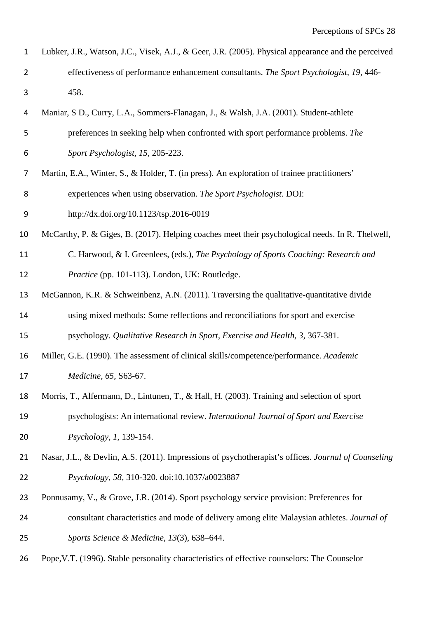| $\mathbf{1}$     | Lubker, J.R., Watson, J.C., Visek, A.J., & Geer, J.R. (2005). Physical appearance and the perceived |
|------------------|-----------------------------------------------------------------------------------------------------|
| $\overline{2}$   | effectiveness of performance enhancement consultants. The Sport Psychologist, 19, 446-              |
| $\mathbf{3}$     | 458.                                                                                                |
| 4                | Maniar, S.D., Curry, L.A., Sommers-Flanagan, J., & Walsh, J.A. (2001). Student-athlete              |
| 5                | preferences in seeking help when confronted with sport performance problems. The                    |
| 6                | Sport Psychologist, 15, 205-223.                                                                    |
| 7                | Martin, E.A., Winter, S., & Holder, T. (in press). An exploration of trainee practitioners'         |
| 8                | experiences when using observation. The Sport Psychologist. DOI:                                    |
| $\boldsymbol{9}$ | http://dx.doi.org/10.1123/tsp.2016-0019                                                             |
| 10               | McCarthy, P. & Giges, B. (2017). Helping coaches meet their psychological needs. In R. Thelwell,    |
| 11               | C. Harwood, & I. Greenlees, (eds.), The Psychology of Sports Coaching: Research and                 |
| 12               | Practice (pp. 101-113). London, UK: Routledge.                                                      |
| 13               | McGannon, K.R. & Schweinbenz, A.N. (2011). Traversing the qualitative-quantitative divide           |
| 14               | using mixed methods: Some reflections and reconciliations for sport and exercise                    |
| 15               | psychology. Qualitative Research in Sport, Exercise and Health, 3, 367-381.                         |
| 16               | Miller, G.E. (1990). The assessment of clinical skills/competence/performance. Academic             |
| 17               | Medicine, 65, S63-67.                                                                               |
| 18               | Morris, T., Alfermann, D., Lintunen, T., & Hall, H. (2003). Training and selection of sport         |
| 19               | psychologists: An international review. International Journal of Sport and Exercise                 |
| 20               | Psychology, 1, 139-154.                                                                             |
| 21               | Nasar, J.L., & Devlin, A.S. (2011). Impressions of psychotherapist's offices. Journal of Counseling |
| 22               | Psychology, 58, 310-320. doi:10.1037/a0023887                                                       |
| 23               | Ponnusamy, V., & Grove, J.R. (2014). Sport psychology service provision: Preferences for            |
| 24               | consultant characteristics and mode of delivery among elite Malaysian athletes. Journal of          |
| 25               | Sports Science & Medicine, 13(3), 638-644.                                                          |
| 26               | Pope, V.T. (1996). Stable personality characteristics of effective counselors: The Counselor        |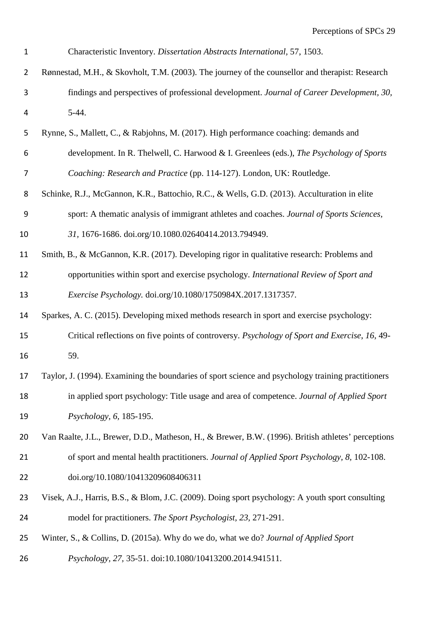| $\mathbf{1}$   | Characteristic Inventory. Dissertation Abstracts International, 57, 1503.                          |  |  |
|----------------|----------------------------------------------------------------------------------------------------|--|--|
| $\overline{2}$ | Rønnestad, M.H., & Skovholt, T.M. (2003). The journey of the counsellor and therapist: Research    |  |  |
| $\mathbf{3}$   | findings and perspectives of professional development. Journal of Career Development, 30,          |  |  |
| 4              | $5-44.$                                                                                            |  |  |
| 5              | Rynne, S., Mallett, C., & Rabjohns, M. (2017). High performance coaching: demands and              |  |  |
| 6              | development. In R. Thelwell, C. Harwood & I. Greenlees (eds.), The Psychology of Sports            |  |  |
| 7              | Coaching: Research and Practice (pp. 114-127). London, UK: Routledge.                              |  |  |
| 8              | Schinke, R.J., McGannon, K.R., Battochio, R.C., & Wells, G.D. (2013). Acculturation in elite       |  |  |
| 9              | sport: A thematic analysis of immigrant athletes and coaches. Journal of Sports Sciences,          |  |  |
| 10             | 31, 1676-1686. doi.org/10.1080.02640414.2013.794949.                                               |  |  |
| 11             | Smith, B., & McGannon, K.R. (2017). Developing rigor in qualitative research: Problems and         |  |  |
| 12             | opportunities within sport and exercise psychology. International Review of Sport and              |  |  |
| 13             | Exercise Psychology. doi.org/10.1080/1750984X.2017.1317357.                                        |  |  |
| 14             | Sparkes, A. C. (2015). Developing mixed methods research in sport and exercise psychology:         |  |  |
| 15             | Critical reflections on five points of controversy. Psychology of Sport and Exercise, 16, 49-      |  |  |
| 16             | 59.                                                                                                |  |  |
| 17             | Taylor, J. (1994). Examining the boundaries of sport science and psychology training practitioners |  |  |
| 18             | in applied sport psychology: Title usage and area of competence. Journal of Applied Sport          |  |  |
| 19             | Psychology, 6, 185-195.                                                                            |  |  |
| 20             | Van Raalte, J.L., Brewer, D.D., Matheson, H., & Brewer, B.W. (1996). British athletes' perceptions |  |  |
| 21             | of sport and mental health practitioners. Journal of Applied Sport Psychology, 8, 102-108.         |  |  |
| 22             | doi.org/10.1080/10413209608406311                                                                  |  |  |
| 23             | Visek, A.J., Harris, B.S., & Blom, J.C. (2009). Doing sport psychology: A youth sport consulting   |  |  |
| 24             | model for practitioners. The Sport Psychologist, 23, 271-291.                                      |  |  |
| 25             | Winter, S., & Collins, D. (2015a). Why do we do, what we do? Journal of Applied Sport              |  |  |
| 26             | Psychology, 27, 35-51. doi:10.1080/10413200.2014.941511.                                           |  |  |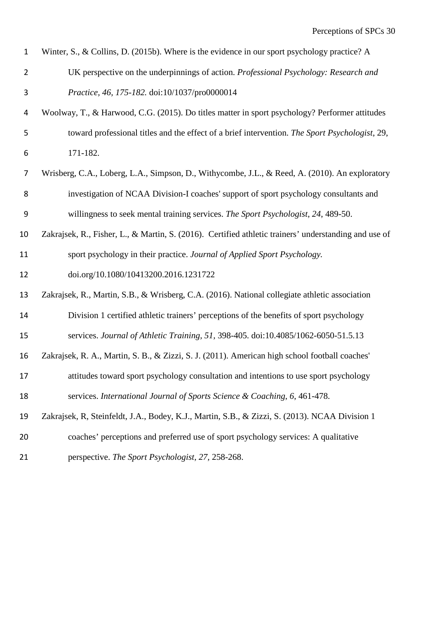| $\mathbf{1}$   | Winter, S., & Collins, D. (2015b). Where is the evidence in our sport psychology practice? A          |
|----------------|-------------------------------------------------------------------------------------------------------|
| $\overline{2}$ | UK perspective on the underpinnings of action. Professional Psychology: Research and                  |
| 3              | Practice, 46, 175-182. doi:10/1037/pro0000014                                                         |
| 4              | Woolway, T., & Harwood, C.G. (2015). Do titles matter in sport psychology? Performer attitudes        |
| 5              | toward professional titles and the effect of a brief intervention. The Sport Psychologist, 29,        |
| 6              | 171-182.                                                                                              |
| 7              | Wrisberg, C.A., Loberg, L.A., Simpson, D., Withycombe, J.L., & Reed, A. (2010). An exploratory        |
| 8              | investigation of NCAA Division-I coaches' support of sport psychology consultants and                 |
| 9              | willingness to seek mental training services. The Sport Psychologist, 24, 489-50.                     |
| 10             | Zakrajsek, R., Fisher, L., & Martin, S. (2016). Certified athletic trainers' understanding and use of |
| 11             | sport psychology in their practice. Journal of Applied Sport Psychology.                              |
| 12             | doi.org/10.1080/10413200.2016.1231722                                                                 |
| 13             | Zakrajsek, R., Martin, S.B., & Wrisberg, C.A. (2016). National collegiate athletic association        |
| 14             | Division 1 certified athletic trainers' perceptions of the benefits of sport psychology               |
| 15             | services. Journal of Athletic Training, 51, 398-405. doi:10.4085/1062-6050-51.5.13                    |
| 16             | Zakrajsek, R. A., Martin, S. B., & Zizzi, S. J. (2011). American high school football coaches'        |
| 17             | attitudes toward sport psychology consultation and intentions to use sport psychology                 |
| 18             | services. International Journal of Sports Science & Coaching, 6, 461-478.                             |
| 19             | Zakrajsek, R, Steinfeldt, J.A., Bodey, K.J., Martin, S.B., & Zizzi, S. (2013). NCAA Division 1        |
| 20             | coaches' perceptions and preferred use of sport psychology services: A qualitative                    |
| 21             | perspective. The Sport Psychologist, 27, 258-268.                                                     |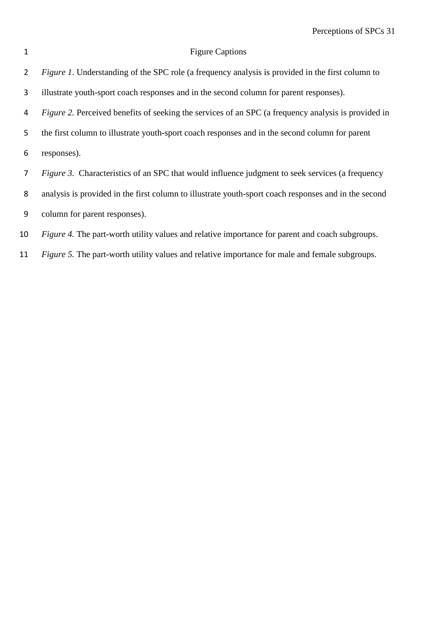# 1 Figure Captions

| $\overline{2}$ | <i>Figure 1.</i> Understanding of the SPC role (a frequency analysis is provided in the first column to    |
|----------------|------------------------------------------------------------------------------------------------------------|
| 3              | illustrate youth-sport coach responses and in the second column for parent responses).                     |
| 4              | <i>Figure 2.</i> Perceived benefits of seeking the services of an SPC (a frequency analysis is provided in |
| 5              | the first column to illustrate youth-sport coach responses and in the second column for parent             |
| 6              | responses).                                                                                                |
| 7              | <i>Figure 3.</i> Characteristics of an SPC that would influence judgment to seek services (a frequency     |
| 8              | analysis is provided in the first column to illustrate youth-sport coach responses and in the second       |
| 9              | column for parent responses).                                                                              |
| 10             | <i>Figure 4.</i> The part-worth utility values and relative importance for parent and coach subgroups.     |

*Figure 5.* The part-worth utility values and relative importance for male and female subgroups.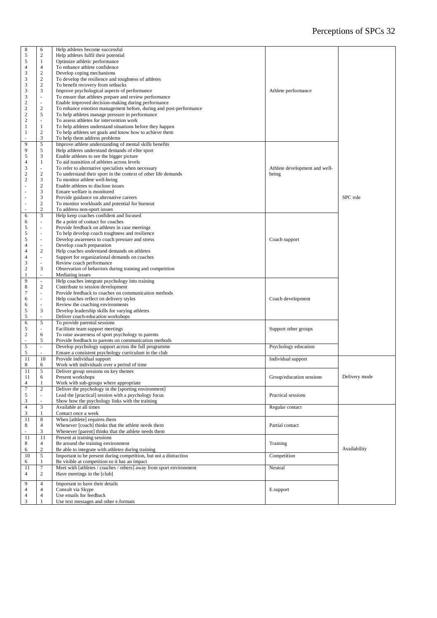| $\,$ 8 $\,$               | 6                        | Help athletes become successful                                     |                               |               |
|---------------------------|--------------------------|---------------------------------------------------------------------|-------------------------------|---------------|
| 5                         | $\boldsymbol{2}$         | Help athletes fulfil their potential                                |                               |               |
| 5                         | $\mathbf{1}$             | Optimize athletic performance                                       |                               |               |
| $\overline{4}$            | $\overline{4}$           | To enhance athlete confidence                                       |                               |               |
| 3                         | $\sqrt{2}$               |                                                                     |                               |               |
|                           | $\mathbf{2}$             | Develop coping mechanisms                                           |                               |               |
| 3                         |                          | To develop the resilience and toughness of athletes                 |                               |               |
| 3                         | $\sqrt{2}$               | To benefit recovery from setbacks                                   |                               |               |
| 3                         | 3                        | Improve psychological aspects of performance                        | Athlete performance           |               |
| 3                         | ÷,                       | To ensure that athletes prepare and review performance              |                               |               |
| $\sqrt{2}$                | ÷,                       | Enable improved decision-making during performance                  |                               |               |
| $\sqrt{2}$                | $\mathbf{2}$             | To enhance emotion management before, during and post-performance   |                               |               |
| $\sqrt{2}$                | 5                        | To help athletes manage pressure in performance                     |                               |               |
| $\overline{c}$            | L.                       | To assess athletes for intervention work                            |                               |               |
| $\mathbf{1}$              | $\mathbf{1}$             | To help athletes understand situations before they happen           |                               |               |
| $\,1\,$                   | $\sqrt{2}$               | To help athletes set goals and know how to achieve them             |                               |               |
| ä,                        | $\mathfrak{Z}$           | To help them address problems                                       |                               |               |
| 9                         | $\mathfrak s$            | Improve athlete understanding of mental skills benefits             |                               |               |
| 9                         | 5                        | Help athletes understand demands of elite sport                     |                               |               |
| 5                         | 3                        | Enable athletes to see the bigger picture                           |                               |               |
| $\overline{4}$            | $\mathbf{1}$             | To aid transition of athletes across levels                         |                               |               |
| $\mathfrak z$             | ÷.                       | To refer to alternative specialists when necessary                  | Athlete development and well- |               |
| $\overline{c}$            | $\overline{c}$           | To understand their sport in the context of other life demands      | being                         |               |
| $\sqrt{2}$                | $\mathfrak{Z}$           | To monitor athlete well-being                                       |                               |               |
| ÷,                        | $\mathbf{2}$             | Enable athletes to disclose issues                                  |                               |               |
| ÷,                        | 3                        | Ensure welfare is monitored                                         |                               |               |
|                           |                          | Provide guidance on alternative careers                             |                               | SPC role      |
| $\sim$<br>÷,              | 3<br>$\boldsymbol{2}$    | To monitor workloads and potential for burnout                      |                               |               |
|                           | $\overline{c}$           |                                                                     |                               |               |
|                           |                          | To address non-sport issues                                         |                               |               |
| 6                         | 3                        | Help keep coaches confident and focused                             |                               |               |
| 6                         | ÷,                       | Be a point of contact for coaches                                   |                               |               |
| 5                         | ÷,                       | Provide feedback on athletes in case meetings                       |                               |               |
| $\sqrt{5}$                | ä,                       | To help develop coach toughness and resilience                      |                               |               |
| 5                         | ä,                       | Develop awareness to coach pressure and stress                      | Coach support                 |               |
| $\overline{4}$            | $\sim$                   | Develop coach preparation                                           |                               |               |
| $\overline{4}$            | $\sqrt{2}$               | Help coaches understand demands on athletes                         |                               |               |
| $\overline{4}$            | $\Box$                   | Support for organizational demands on coaches                       |                               |               |
| $\ensuremath{\mathsf{3}}$ | L.                       | Review coach performance                                            |                               |               |
| $\sqrt{2}$                | $\mathfrak{Z}$           | Observation of behaviors during training and competition            |                               |               |
| $\mathbf{1}$              | ù.                       | Mediating issues                                                    |                               |               |
| 9                         | $\sim$                   | Help coaches integrate psychology into training                     |                               |               |
| $\,$ 8 $\,$               | $\boldsymbol{2}$         | Contribute to session development                                   |                               |               |
| $\tau$                    | $\blacksquare$           | Provide feedback to coaches on communication methods                |                               |               |
| 6                         | ÷,                       | Help coaches reflect on delivery styles                             | Coach development             |               |
| 6                         | $\overline{\phantom{a}}$ | Review the coaching environments                                    |                               |               |
| $\sqrt{5}$                | 3                        | Develop leadership skills for varying athletes                      |                               |               |
| 5                         | L.                       | Deliver coach-education workshops                                   |                               |               |
| $\sqrt{6}$                | 5                        | To provide parental sessions                                        |                               |               |
|                           |                          |                                                                     |                               |               |
| 5                         | $\overline{\phantom{a}}$ | Facilitate team support meetings                                    | Support other groups          |               |
| $\sqrt{2}$                | 6                        | To raise awareness of sport psychology to parents                   |                               |               |
|                           | 5                        | Provide feedback to parents on communication methods                |                               |               |
| 5                         | $\overline{\phantom{a}}$ | Develop psychology support across the full programme                | Psychology education          |               |
| 5                         |                          | Ensure a consistent psychology curriculum in the club               |                               |               |
| 11                        | 10                       | Provide individual support                                          | Individual support            |               |
| 8                         | 6                        | Work with individuals over a period of time                         |                               |               |
| 11                        | 5                        | Deliver group sessions on key themes                                |                               |               |
| 11                        | 6                        | Present workshops                                                   | Group/education sessions      | Delivery mode |
| $\overline{4}$            | $\mathbf{1}$             | Work with sub-groups where appropriate                              |                               |               |
| $\boldsymbol{7}$          | $\overline{c}$           | Deliver the psychology in the [sporting environment]                |                               |               |
| $\mathfrak s$             | $\overline{\phantom{a}}$ | Lead the [practical] session with a psychology focus                | Practical sessions            |               |
| 3                         |                          | Show how the psychology links with the training                     |                               |               |
| $\overline{4}$            | 3                        | Available at all times                                              | Regular contact               |               |
| $\mathfrak z$             | 1                        | Contact once a week                                                 |                               |               |
|                           |                          | When [athlete] requires them                                        |                               |               |
| 11<br>$\,$ 8 $\,$         | 8<br>$\overline{4}$      | Whenever [coach] thinks that the athlete needs them                 |                               |               |
| L.                        | 3                        |                                                                     | Partial contact               |               |
|                           |                          | Whenever [parent] thinks that the athlete needs them                |                               |               |
| 11                        | 11                       | Present at training sessions                                        |                               |               |
| 8                         | 4                        | Be around the training environment                                  | Training                      |               |
| 6                         | $\sqrt{2}$               | Be able to integrate with athletes during training                  |                               | Availability  |
| 10                        | 5                        | Important to be present during competition, but not a distraction   | Competition                   |               |
| 6                         | $\mathbf{1}$             | Be visible at competition so it has an impact                       |                               |               |
| 11                        | 7                        | Meet with [athletes / coaches / others] away from sport environment | Neutral                       |               |
| 4                         | $\overline{c}$           | Have meetings in the [club]                                         |                               |               |
|                           |                          |                                                                     |                               |               |
| 9                         | $\overline{4}$           | Important to have their details                                     |                               |               |
| $\overline{4}$            | 4                        | Consult via Skype                                                   | E.support                     |               |
| $\overline{4}$            | $\overline{4}$           | Use emails for feedback                                             |                               |               |
| 3                         | 1                        | Use text messages and other e.formats                               |                               |               |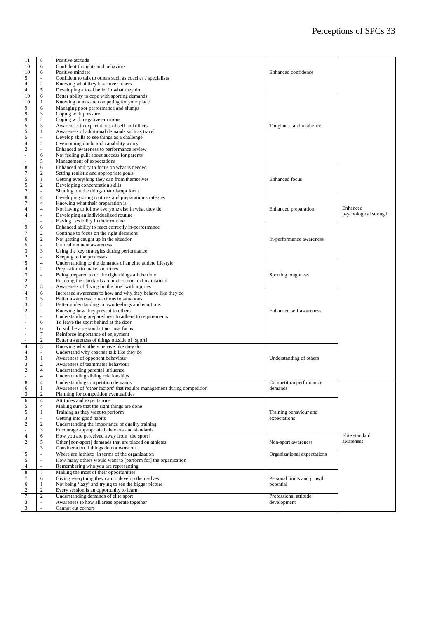| 11                          | 8                        | Positive attitude                                                        |                             |                        |
|-----------------------------|--------------------------|--------------------------------------------------------------------------|-----------------------------|------------------------|
| 10                          | 6                        | Confident thoughts and behaviors                                         |                             |                        |
| 10                          | 6                        | Positive mindset                                                         | Enhanced confidence         |                        |
| 5                           | ÷.                       | Confident to talk to others such as coaches / specialists                |                             |                        |
| $\overline{4}$              | $\mathbf{2}$             | Knowing what they have over others                                       |                             |                        |
| 4                           | 5                        | Developing a total belief in what they do                                |                             |                        |
| 10                          | 6                        | Better ability to cope with sporting demands                             |                             |                        |
| 10                          | 1                        | Knowing others are competing for your place                              |                             |                        |
| 9                           | 6                        | Managing poor performance and slumps                                     |                             |                        |
| 9                           | 5                        | Coping with pressure                                                     |                             |                        |
| 9                           | $\mathbf{2}$             | Coping with negative emotions                                            |                             |                        |
| 5                           | 3                        | Awareness to expectations of self and others<br>Toughness and resilience |                             |                        |
| $\mathfrak s$               | $\mathbf{1}$             | Awareness of additional demands such as travel                           |                             |                        |
| 5                           | $\sim$                   | Develop skills to see things as a challenge                              |                             |                        |
| $\overline{4}$              | $\mathbf{2}$             | Overcoming doubt and capability worry                                    |                             |                        |
| $\sqrt{2}$                  |                          |                                                                          |                             |                        |
|                             | $\sim$<br>6              | Enhanced awareness to performance review                                 |                             |                        |
| ÷,                          |                          | Not feeling guilt about success for parents                              |                             |                        |
|                             | 5                        | Management of expectations                                               |                             |                        |
| $\,$ 8 $\,$                 | 6                        | Enhanced ability to focus on what is needed                              |                             |                        |
| $\boldsymbol{7}$            | $\overline{c}$           | Setting realistic and appropriate goals                                  |                             |                        |
| 5                           | $\mathbf{1}$             | Getting everything they can from themselves                              | <b>Enhanced</b> focus       |                        |
| 5                           | $\overline{c}$           | Developing concentration skills                                          |                             |                        |
| $\sqrt{2}$                  | L.                       | Shutting out the things that disrupt focus                               |                             |                        |
| $\,$ 8 $\,$                 | $\overline{4}$           | Developing string routines and preparation strategies                    |                             |                        |
| $\tau$                      | $\overline{4}$           | Knowing what their preparation is                                        |                             |                        |
| $\overline{\mathcal{L}}$    | 4                        | Not having to follow everyone else in what they do                       | Enhanced preparation        | Enhanced               |
| $\overline{\mathcal{L}}$    | ÷,                       | Developing an individualized routine                                     |                             | psychological strength |
| 1                           |                          | Having flexibility in their routine                                      |                             |                        |
| 9                           | 6                        | Enhanced ability to react correctly in-performance                       |                             |                        |
| $\boldsymbol{7}$            | $\overline{c}$           | Continue to focus on the right decisions                                 |                             |                        |
| 6                           | $\boldsymbol{2}$         | Not getting caught up in the situation                                   | In-performance awareness    |                        |
| 5                           | $\sim$                   | Critical moment awareness                                                |                             |                        |
| 3                           | 3                        | Using the key strategies during performance                              |                             |                        |
| $\sqrt{2}$                  | ÷.                       | Keeping to the processes                                                 |                             |                        |
| $\sqrt{5}$                  | $\overline{4}$           | Understanding to the demands of an elite athlete lifestyle               |                             |                        |
|                             |                          |                                                                          |                             |                        |
| $\overline{\mathcal{A}}$    | $\boldsymbol{2}$         | Preparation to make sacrifices                                           |                             |                        |
| $\ensuremath{\mathfrak{Z}}$ | $\bar{\phantom{a}}$      | Being prepared to do the right things all the time                       | Sporting toughness          |                        |
| $\frac{2}{2}$               | ÷,                       | Ensuring the standards are understood and maintained                     |                             |                        |
|                             | 3                        | Awareness of 'living on the line' with injuries                          |                             |                        |
| $\overline{4}$              | 6                        | Increased awareness to how and why they behave like they do              |                             |                        |
| 3                           | 5                        | Better awareness to reactions to situations                              |                             |                        |
| $\ensuremath{\mathfrak{Z}}$ | $\boldsymbol{2}$         | Better understanding to own feelings and emotions                        |                             |                        |
| $\sqrt{2}$                  | $\overline{\phantom{a}}$ | Knowing how they present to others                                       | Enhanced self-awareness     |                        |
| 1                           | $\bar{\phantom{a}}$      | Understanding preparedness to adhere to requirements                     |                             |                        |
| ä,                          | 6                        | To leave the sport behind at the door                                    |                             |                        |
|                             | 6                        | To still be a person but not lose focus                                  |                             |                        |
|                             | $\tau$                   | Reinforce importance of enjoyment                                        |                             |                        |
|                             | $\boldsymbol{2}$         | Better awareness of things outside of [sport]                            |                             |                        |
| $\overline{4}$              | 3                        | Knowing why others behave like they do                                   |                             |                        |
| $\overline{\mathcal{L}}$    | $\overline{\phantom{a}}$ | Understand why coaches talk like they do                                 |                             |                        |
| 3                           | $\mathbf{1}$             | Awareness of opponent behaviour                                          | Understanding of others     |                        |
| $\ensuremath{\mathfrak{Z}}$ | $\boldsymbol{2}$         | Awareness of teammates behaviour                                         |                             |                        |
| $\sqrt{2}$                  | $\overline{4}$           | Understanding parental influence                                         |                             |                        |
| L.                          | $\overline{4}$           | Understanding sibling relationships                                      |                             |                        |
| 8                           | $\overline{4}$           | Understanding competition demands                                        | Competition performance     |                        |
| 6                           | $\mathbf{1}$             | Awareness of 'other factors' that require management during competition  | demands                     |                        |
| 3                           | $\boldsymbol{2}$         | Planning for competition eventualities                                   |                             |                        |
|                             |                          | Attitudes and expectations                                               |                             |                        |
| 6                           | $\overline{4}$           |                                                                          |                             |                        |
| 5                           | $\overline{4}$           | Making sure that the right things are done                               |                             |                        |
| $\mathfrak s$               | $\mathbf{1}$             | Training as they want to perform                                         | Training behaviour and      |                        |
| 3                           | $\overline{\phantom{a}}$ | Getting into good habits                                                 | expectations                |                        |
| $\sqrt{2}$                  | $\sqrt{2}$               | Understanding the importance of quality training                         |                             |                        |
|                             | $\mathfrak{Z}$           | Encourage appropriate behaviors and standards                            |                             |                        |
| 4                           | 6                        | How you are perceived away from [the sport]                              |                             | Elite standard         |
| $\boldsymbol{2}$            | 5                        | Other [non-sport] demands that are placed on athletes                    | Non-sport awareness         | awareness              |
| 1                           | 3                        | Consideration if things do not work out                                  |                             |                        |
| 5                           | $\omega$                 | Where are [athlete] in terms of the organization                         | Organizational expectations |                        |
| 5                           |                          | How many others would want to [perform for] the organization             |                             |                        |
| 4                           | ä,                       | Remembering who you are representing                                     |                             |                        |
| $\,$ 8 $\,$                 | $\tau$                   | Making the most of their opportunities                                   |                             |                        |
| 7                           | 6                        | Giving everything they can to develop themselves                         | Personal limits and growth  |                        |
| 6                           | $\mathbf{1}$             | Not being 'lazy' and trying to see the bigger picture                    | potential                   |                        |
| 2                           | $\boldsymbol{2}$         | Every session is an opportunity to learn                                 |                             |                        |
| $\boldsymbol{7}$            | $\overline{c}$           | Understanding demands of elite sport                                     | Professional attitude       |                        |
| 3                           | ÷,                       | Awareness to how all areas operate together                              | development                 |                        |
| 3                           |                          | Cannot cut corners                                                       |                             |                        |
|                             |                          |                                                                          |                             |                        |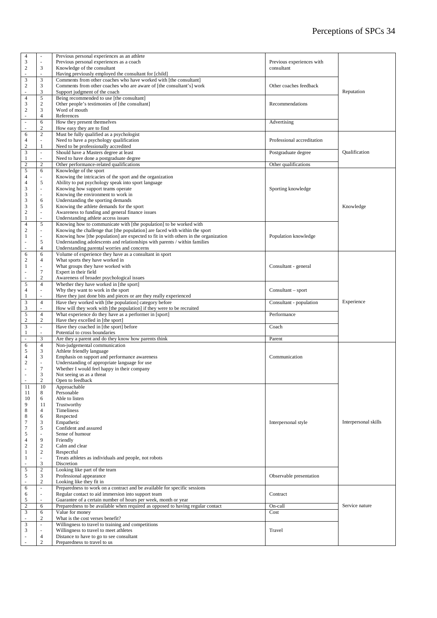| $\overline{4}$                             | $\overline{\phantom{a}}$           | Previous personal experiences as an athlete                                         |                            |                      |
|--------------------------------------------|------------------------------------|-------------------------------------------------------------------------------------|----------------------------|----------------------|
| $\frac{3}{2}$                              | $\sim$                             | Previous personal experiences as a coach                                            | Previous experiences with  |                      |
|                                            | 3                                  | Knowledge of the consultant                                                         | consultant                 |                      |
| ä,                                         |                                    | Having previously employed the consultant for [child]                               |                            |                      |
| 3                                          | 3                                  | Comments from other coaches who have worked with [the consultant]                   |                            |                      |
| $\sqrt{2}$                                 | $\mathfrak{Z}$                     | Comments from other coaches who are aware of [the consultant's] work                | Other coaches feedback     |                      |
| ä,                                         | 3                                  | Support judgment of the coach                                                       |                            | Reputation           |
| $\overline{4}$                             | 5                                  | Being recommended to use [the consultant]                                           |                            |                      |
| 3                                          | 2                                  | Other people's testimonies of [the consultant]                                      | Recommendations            |                      |
| $\sqrt{2}$                                 | 3                                  | Word of mouth                                                                       |                            |                      |
| $\overline{\phantom{a}}$                   | $\overline{4}$                     | References                                                                          |                            |                      |
| $\bar{\phantom{a}}$                        | 6                                  | How they present themselves                                                         | Advertising                |                      |
| L.                                         | $\overline{c}$                     | How easy they are to find                                                           |                            |                      |
| 6                                          | 2                                  | Must be fully qualified as a psychologist                                           |                            |                      |
| $\overline{4}$                             | ÷.                                 | Need to have a psychology qualification                                             | Professional accreditation |                      |
| $\overline{c}$                             | 1                                  | Need to be professionally accredited                                                |                            |                      |
| $\ensuremath{\mathsf{3}}$                  | $\overline{\phantom{a}}$           | Should have a Masters degree at least                                               | Postgraduate degree        | Qualification        |
| $\mathbf{1}$                               | ÷.                                 | Need to have done a postgraduate degree                                             |                            |                      |
| $\sqrt{2}$                                 | $\mathbf{2}$                       | Other performance-related qualifications                                            | Other qualifications       |                      |
| 5                                          | 6                                  | Knowledge of the sport                                                              |                            |                      |
| $\overline{4}$                             | $\overline{\phantom{a}}$           | Knowing the intricacies of the sport and the organization                           |                            |                      |
| $\overline{4}$                             | 5                                  | Ability to put psychology speak into sport language                                 |                            |                      |
| 3                                          | ÷                                  | Knowing how support teams operate                                                   | Sporting knowledge         |                      |
| 3                                          | $\overline{\phantom{a}}$           | Knowing the environment to work in                                                  |                            |                      |
| 3                                          | 6                                  | Understanding the sporting demands                                                  |                            |                      |
| $\mathfrak{Z}$                             | 5                                  | Knowing the athlete demands for the sport                                           |                            | Knowledge            |
|                                            |                                    | Awareness to funding and general finance issues                                     |                            |                      |
| $\begin{smallmatrix}2\\1\end{smallmatrix}$ |                                    | Understanding athlete access issues                                                 |                            |                      |
| $\overline{4}$                             | 5                                  | Knowing how to communicate with [the population] to be worked with                  |                            |                      |
| $\overline{c}$                             | ÷.                                 | Knowing the challenge that [the population] are faced with within the sport         |                            |                      |
| $\mathbf{1}$                               |                                    | Knowing how [the population] are expected to fit in with others in the organization | Population knowledge       |                      |
| ÷,                                         | $\sqrt{5}$                         | Understanding adolescents and relationships with parents / within families          |                            |                      |
| ä,                                         | $\overline{4}$                     | Understanding parental worries and concerns                                         |                            |                      |
|                                            | 6                                  | Volume of experience they have as a consultant in sport                             |                            |                      |
| 6                                          | 4                                  |                                                                                     |                            |                      |
| $\overline{c}$                             |                                    | What sports they have worked in                                                     |                            |                      |
| $\mathbf{1}$                               | $\overline{7}$                     | What groups they have worked with                                                   | Consultant - general       |                      |
| $\overline{\phantom{a}}$<br>l,             |                                    | Expert in their field                                                               |                            |                      |
|                                            | $\overline{c}$                     | Awareness of broader psychological issues                                           |                            |                      |
| 5                                          | $\overline{4}$                     | Whether they have worked in [the sport]                                             |                            |                      |
| $\overline{4}$                             | ä,                                 | Why they want to work in the sport                                                  | Consultant – sport         |                      |
| $\mathbf{1}$                               | $\overline{\phantom{a}}$           | Have they just done bits and pieces or are they really experienced                  |                            |                      |
| 3                                          | $\overline{4}$                     | Have they worked with [the population] category before                              | Consultant - population    | Experience           |
| 3                                          |                                    | How will they work with [the population] if they were to be recruited               |                            |                      |
| 5                                          | $\overline{4}$                     | What experience do they have as a performer in [sport]                              | Performance                |                      |
| $\overline{c}$                             | $\mathbf{2}$                       | Have they excelled in [the sport]                                                   |                            |                      |
| 3                                          | $\omega$                           | Have they coached in [the sport] before                                             | Coach                      |                      |
| $\mathbf{1}$                               |                                    | Potential to cross boundaries                                                       |                            |                      |
| $\overline{\phantom{a}}$                   | 3                                  | Are they a parent and do they know how parents think                                | Parent                     |                      |
| 6                                          | $\overline{4}$                     | Non-judgemental communication                                                       |                            |                      |
| 5                                          | 3                                  | Athlete friendly language                                                           |                            |                      |
| $\overline{4}$                             | 3                                  | Emphasis on support and performance awareness                                       | Communication              |                      |
| $\overline{c}$                             | $\omega$                           | Understanding of appropriate language for use                                       |                            |                      |
| $\bar{z}$                                  | $\boldsymbol{7}$                   | Whether I would feel happy in their company                                         |                            |                      |
| $\overline{\phantom{a}}$                   | 3                                  | Not seeing us as a threat                                                           |                            |                      |
|                                            | $\overline{2}$                     | Open to feedback                                                                    |                            |                      |
| 11                                         | 10                                 | Approachable                                                                        |                            |                      |
| 11                                         | 8                                  | Personable                                                                          |                            |                      |
| 10                                         | 6                                  | Able to listen                                                                      |                            |                      |
| 9                                          | 11                                 | Trustworthy                                                                         |                            |                      |
| 8                                          | $\overline{4}$                     | Timeliness                                                                          |                            |                      |
| 8                                          | 6                                  | Respected                                                                           |                            |                      |
| $\tau$                                     | 3                                  | Empathetic                                                                          | Interpersonal style        | Interpersonal skills |
| $\overline{7}$                             | 5                                  | Confident and assured                                                               |                            |                      |
| 5                                          |                                    | Sense of humour                                                                     |                            |                      |
| $\overline{4}$                             | 9                                  | Friendly                                                                            |                            |                      |
| $\boldsymbol{2}$                           | $\overline{2}$                     | Calm and clear                                                                      |                            |                      |
| $\mathbf{1}$                               | 2                                  | Respectful                                                                          |                            |                      |
| $\mathbf{1}$                               | ÷.                                 | Treats athletes as individuals and people, not robots                               |                            |                      |
| ä,                                         | 3                                  | Discretion                                                                          |                            |                      |
| 5                                          | $\mathbf{2}$                       | Looking like part of the team                                                       |                            |                      |
| 5                                          | 3                                  | Professional appearance                                                             | Observable presentation    |                      |
| L.                                         | 2                                  | Looking like they fit in                                                            |                            |                      |
| 6                                          | $\omega$                           | Preparedness to work on a contract and be available for specific sessions           |                            |                      |
| 6                                          | ÷.                                 | Regular contact to aid immersion into support team                                  | Contract                   |                      |
| $\mathfrak s$                              |                                    | Guarantee of a certain number of hours per week, month or year                      |                            |                      |
| $\overline{c}$                             | 6                                  | Preparedness to be available when required as opposed to having regular contact     | On-call                    | Service nature       |
| $\mathfrak{Z}$                             | 6                                  | Value for money                                                                     | Cost                       |                      |
|                                            | 2                                  | What is the cost verses benefit?                                                    |                            |                      |
| 3                                          | $\overline{\phantom{a}}$           | Willingness to travel to training and competitions                                  |                            |                      |
| 3                                          |                                    | Willingness to travel to meet athletes                                              | Travel                     |                      |
|                                            |                                    |                                                                                     |                            |                      |
|                                            |                                    |                                                                                     |                            |                      |
|                                            | $\overline{4}$<br>$\boldsymbol{2}$ | Distance to have to go to see consultant<br>Preparedness to travel to us            |                            |                      |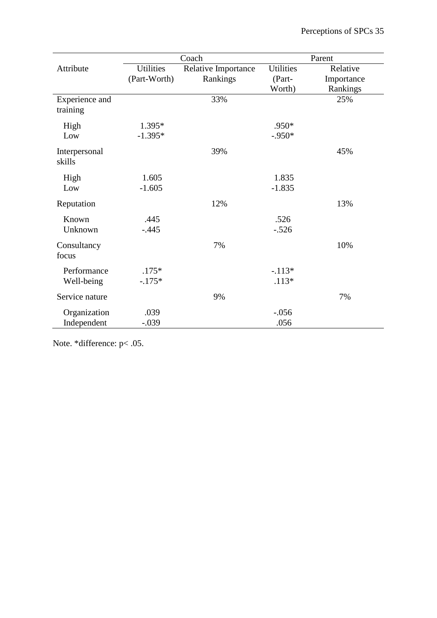|                            | Coach            |                     | Parent           |            |
|----------------------------|------------------|---------------------|------------------|------------|
| Attribute                  | <b>Utilities</b> | Relative Importance | <b>Utilities</b> | Relative   |
|                            | (Part-Worth)     | Rankings            | (Part-           | Importance |
|                            |                  |                     | Worth)           | Rankings   |
| Experience and<br>training |                  | 33%                 |                  | 25%        |
| High                       | 1.395*           |                     | .950*            |            |
| Low                        | $-1.395*$        |                     | $-.950*$         |            |
| Interpersonal<br>skills    |                  | 39%                 |                  | 45%        |
| High                       | 1.605            |                     | 1.835            |            |
| Low                        | $-1.605$         |                     | $-1.835$         |            |
| Reputation                 |                  | 12%                 |                  | 13%        |
| Known                      | .445             |                     | .526             |            |
| Unknown                    | $-.445$          |                     | $-.526$          |            |
| Consultancy<br>focus       |                  | 7%                  |                  | 10%        |
| Performance                | $.175*$          |                     | $-.113*$         |            |
| Well-being                 | $-.175*$         |                     | $.113*$          |            |
| Service nature             |                  | 9%                  |                  | 7%         |
| Organization               | .039             |                     | $-.056$          |            |
| Independent                | $-.039$          |                     | .056             |            |

Note. \*difference: p< .05.